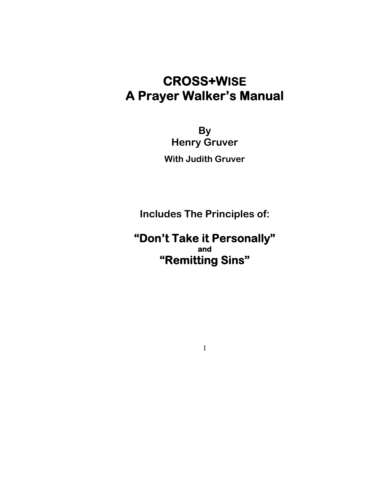# **CROSS+WISE A Prayer Walker's Manual**

**By Henry Gruver With Judith Gruver** 

**Includes The Principles of:** 

**"Don't Take it Personally" and "Remitting Sins"**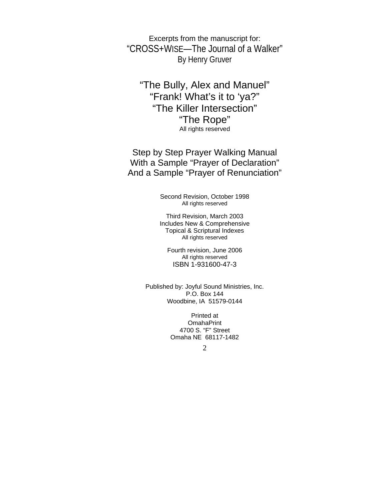Excerpts from the manuscript for: "CROSS+WISE—The Journal of a Walker" By Henry Gruver

"The Bully, Alex and Manuel" "Frank! What's it to 'ya?" "The Killer Intersection" "The Rope" All rights reserved

Step by Step Prayer Walking Manual With a Sample "Prayer of Declaration" And a Sample "Prayer of Renunciation"

> Second Revision, October 1998 All rights reserved

Third Revision, March 2003 Includes New & Comprehensive Topical & Scriptural Indexes All rights reserved

Fourth revision, June 2006 All rights reserved ISBN 1-931600-47-3

Published by: Joyful Sound Ministries, Inc. P.O. Box 144 Woodbine, IA 51579-0144

> Printed at OmahaPrint 4700 S. "F" Street Omaha NE 68117-1482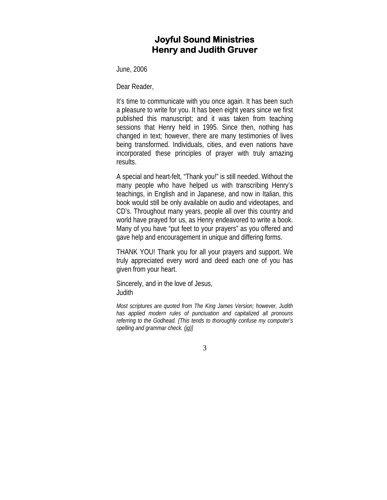### **Joyful Sound Ministries Henry and Judith Gruver**

June, 2006

Dear Reader,

It's time to communicate with you once again. It has been such a pleasure to write for you. It has been eight years since we first published this manuscript; and it was taken from teaching sessions that Henry held in 1995. Since then, nothing has changed in text; however, there are many testimonies of lives being transformed. Individuals, cities, and even nations have incorporated these principles of prayer with truly amazing results.

A special and heart-felt, "Thank you!" is still needed. Without the many people who have helped us with transcribing Henry's teachings, in English and in Japanese, and now in Italian, this book would still be only available on audio and videotapes, and CD's. Throughout many years, people all over this country and world have prayed for us, as Henry endeavored to write a book. Many of you have "put feet to your prayers" as you offered and gave help and encouragement in unique and differing forms.

THANK YOU! Thank you for all your prayers and support. We truly appreciated every word and deed each one of you has given from your heart.

Sincerely, and in the love of Jesus, **Judith** 

*Most scriptures are quoted from The King James Version; however, Judith has applied modern rules of punctuation and capitalized all pronouns referring to the Godhead. {This tends to thoroughly confuse my computer's spelling and grammar check. (jg)]*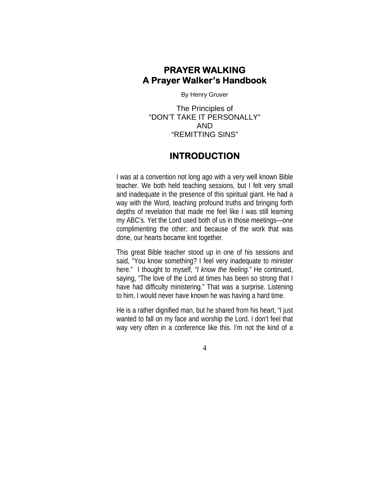## **PRAYER WALKING A Prayer Walker's Handbook**

By Henry Gruver

The Principles of "DON'T TAKE IT PERSONALLY" AND "REMITTING SINS"

### **INTRODUCTION**

I was at a convention not long ago with a very well known Bible teacher. We both held teaching sessions, but I felt very small and inadequate in the presence of this spiritual giant. He had a way with the Word, teaching profound truths and bringing forth depths of revelation that made me feel like I was still learning my ABC's. Yet the Lord used both of us in those meetings—one complimenting the other; and because of the work that was done, our hearts became knit together.

This great Bible teacher stood up in one of his sessions and said, "You know something? I feel very inadequate to minister here." I thought to myself, *"I know the feeling."* He continued, saying, "The love of the Lord at times has been so strong that I have had difficulty ministering." That was a surprise. Listening to him, I would never have known he was having a hard time.

He is a rather dignified man, but he shared from his heart, "I just wanted to fall on my face and worship the Lord. I don't feel that way very often in a conference like this. I'm not the kind of a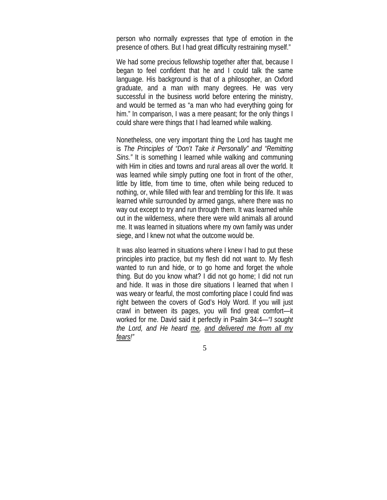person who normally expresses that type of emotion in the presence of others. But I had great difficulty restraining myself."

We had some precious fellowship together after that, because I began to feel confident that he and I could talk the same language. His background is that of a philosopher, an Oxford graduate, and a man with many degrees. He was very successful in the business world before entering the ministry, and would be termed as "a man who had everything going for him." In comparison, I was a mere peasant; for the only things I could share were things that I had learned while walking.

Nonetheless, one very important thing the Lord has taught me is *The Principles of "Don't Take it Personally" and "Remitting Sins.*" It is something I learned while walking and communing with Him in cities and towns and rural areas all over the world. It was learned while simply putting one foot in front of the other, little by little, from time to time, often while being reduced to nothing, or, while filled with fear and trembling for this life. It was learned while surrounded by armed gangs, where there was no way out except to try and run through them. It was learned while out in the wilderness, where there were wild animals all around me. It was learned in situations where my own family was under siege, and I knew not what the outcome would be.

It was also learned in situations where I knew I had to put these principles into practice, but my flesh did not want to. My flesh wanted to run and hide, or to go home and forget the whole thing. But do you know what? I did not go home; I did not run and hide. It was in those dire situations I learned that when I was weary or fearful, the most comforting place I could find was right between the covers of God's Holy Word. If you will just crawl in between its pages, you will find great comfort—it worked for me. David said it perfectly in Psalm 34:4—*"I sought the Lord, and He heard me, and delivered me from all my fears!"*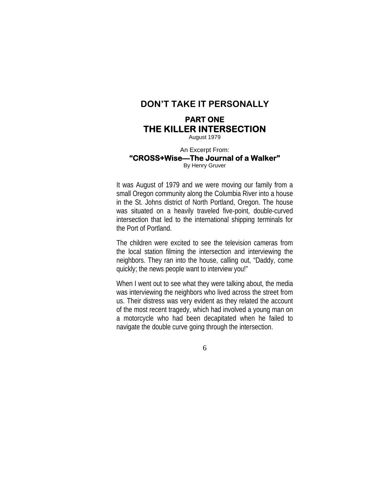### **DON'T TAKE IT PERSONALLY**

### **PART ONE THE KILLER INTERSECTION**

August 1979

#### An Excerpt From: **"CROSS+Wise—The Journal of a Walker"**  By Henry Gruver

It was August of 1979 and we were moving our family from a small Oregon community along the Columbia River into a house in the St. Johns district of North Portland, Oregon. The house was situated on a heavily traveled five-point, double-curved intersection that led to the international shipping terminals for the Port of Portland.

The children were excited to see the television cameras from the local station filming the intersection and interviewing the neighbors. They ran into the house, calling out, "Daddy, come quickly; the news people want to interview you!"

When I went out to see what they were talking about, the media was interviewing the neighbors who lived across the street from us. Their distress was very evident as they related the account of the most recent tragedy, which had involved a young man on a motorcycle who had been decapitated when he failed to navigate the double curve going through the intersection.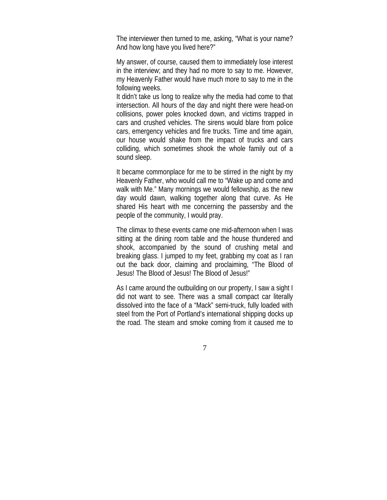The interviewer then turned to me, asking, "What is your name? And how long have you lived here?"

My answer, of course, caused them to immediately lose interest in the interview; and they had no more to say to me. However, my Heavenly Father would have much more to say to me in the following weeks.

It didn't take us long to realize why the media had come to that intersection. All hours of the day and night there were head-on collisions, power poles knocked down, and victims trapped in cars and crushed vehicles. The sirens would blare from police cars, emergency vehicles and fire trucks. Time and time again, our house would shake from the impact of trucks and cars colliding, which sometimes shook the whole family out of a sound sleep.

It became commonplace for me to be stirred in the night by my Heavenly Father, who would call me to "Wake up and come and walk with Me." Many mornings we would fellowship, as the new day would dawn, walking together along that curve. As He shared His heart with me concerning the passersby and the people of the community, I would pray.

The climax to these events came one mid-afternoon when I was sitting at the dining room table and the house thundered and shook, accompanied by the sound of crushing metal and breaking glass. I jumped to my feet, grabbing my coat as I ran out the back door, claiming and proclaiming, "The Blood of Jesus! The Blood of Jesus! The Blood of Jesus!"

As I came around the outbuilding on our property, I saw a sight I did not want to see. There was a small compact car literally dissolved into the face of a "Mack" semi-truck, fully loaded with steel from the Port of Portland's international shipping docks up the road. The steam and smoke coming from it caused me to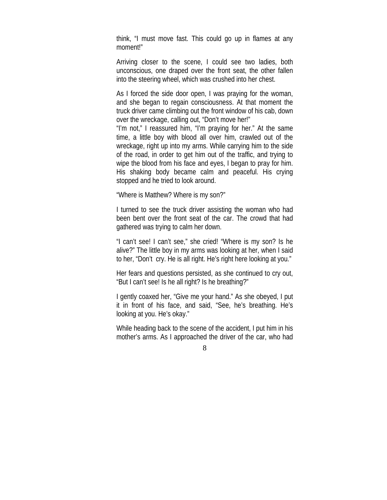think, "I must move fast. This could go up in flames at any moment!"

Arriving closer to the scene, I could see two ladies, both unconscious, one draped over the front seat, the other fallen into the steering wheel, which was crushed into her chest.

As I forced the side door open, I was praying for the woman, and she began to regain consciousness. At that moment the truck driver came climbing out the front window of his cab, down over the wreckage, calling out, "Don't move her!"

"I'm not," I reassured him, "I'm praying for her." At the same time, a little boy with blood all over him, crawled out of the wreckage, right up into my arms. While carrying him to the side of the road, in order to get him out of the traffic, and trying to wipe the blood from his face and eyes, I began to pray for him. His shaking body became calm and peaceful. His crying stopped and he tried to look around.

"Where is Matthew? Where is my son?"

I turned to see the truck driver assisting the woman who had been bent over the front seat of the car. The crowd that had gathered was trying to calm her down.

"I can't see! I can't see," she cried! "Where is my son? Is he alive?" The little boy in my arms was looking at her, when I said to her, "Don't cry. He is all right. He's right here looking at you."

Her fears and questions persisted, as she continued to cry out, "But I can't see! Is he all right? Is he breathing?"

I gently coaxed her, "Give me your hand." As she obeyed, I put it in front of his face, and said, "See, he's breathing. He's looking at you. He's okay."

While heading back to the scene of the accident, I put him in his mother's arms. As I approached the driver of the car, who had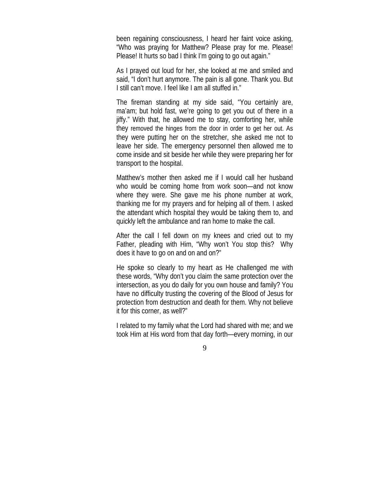been regaining consciousness, I heard her faint voice asking, "Who was praying for Matthew? Please pray for me. Please! Please! It hurts so bad I think I'm going to go out again."

As I prayed out loud for her, she looked at me and smiled and said, "I don't hurt anymore. The pain is all gone. Thank you. But I still can't move. I feel like I am all stuffed in."

The fireman standing at my side said, "You certainly are, ma'am; but hold fast, we're going to get you out of there in a jiffy." With that, he allowed me to stay, comforting her, while they removed the hinges from the door in order to get her out. As they were putting her on the stretcher, she asked me not to leave her side. The emergency personnel then allowed me to come inside and sit beside her while they were preparing her for transport to the hospital.

Matthew's mother then asked me if I would call her husband who would be coming home from work soon—and not know where they were. She gave me his phone number at work, thanking me for my prayers and for helping all of them. I asked the attendant which hospital they would be taking them to, and quickly left the ambulance and ran home to make the call.

After the call I fell down on my knees and cried out to my Father, pleading with Him, "Why won't You stop this? Why does it have to go on and on and on?"

He spoke so clearly to my heart as He challenged me with these words, "Why don't you claim the same protection over the intersection, as you do daily for you own house and family? You have no difficulty trusting the covering of the Blood of Jesus for protection from destruction and death for them. Why not believe it for this corner, as well?"

I related to my family what the Lord had shared with me; and we took Him at His word from that day forth—every morning, in our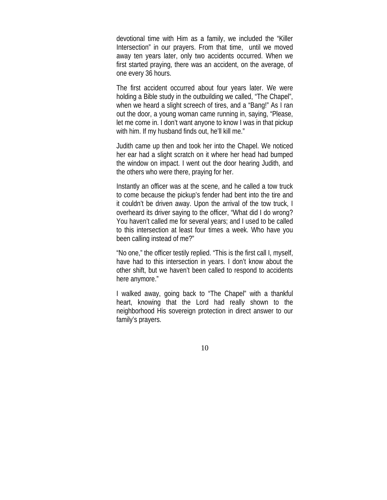devotional time with Him as a family, we included the "Killer Intersection" in our prayers. From that time, until we moved away ten years later, only two accidents occurred. When we first started praying, there was an accident, on the average, of one every 36 hours.

The first accident occurred about four years later. We were holding a Bible study in the outbuilding we called, "The Chapel", when we heard a slight screech of tires, and a "Bang!" As I ran out the door, a young woman came running in, saying, "Please, let me come in. I don't want anyone to know I was in that pickup with him. If my husband finds out, he'll kill me."

Judith came up then and took her into the Chapel. We noticed her ear had a slight scratch on it where her head had bumped the window on impact. I went out the door hearing Judith, and the others who were there, praying for her.

Instantly an officer was at the scene, and he called a tow truck to come because the pickup's fender had bent into the tire and it couldn't be driven away. Upon the arrival of the tow truck, I overheard its driver saying to the officer, "What did I do wrong? You haven't called me for several years; and I used to be called to this intersection at least four times a week. Who have you been calling instead of me?"

"No one," the officer testily replied. "This is the first call I, myself, have had to this intersection in years. I don't know about the other shift, but we haven't been called to respond to accidents here anymore."

I walked away, going back to "The Chapel" with a thankful heart, knowing that the Lord had really shown to the neighborhood His sovereign protection in direct answer to our family's prayers.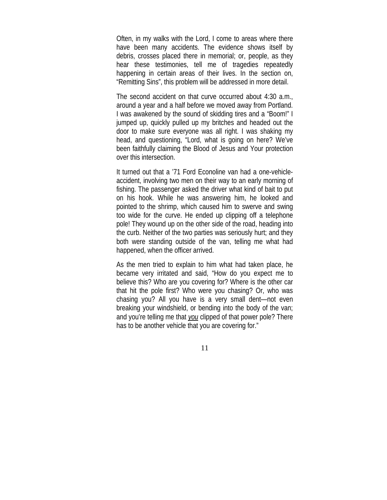Often, in my walks with the Lord, I come to areas where there have been many accidents. The evidence shows itself by debris, crosses placed there in memorial; or, people, as they hear these testimonies, tell me of tragedies repeatedly happening in certain areas of their lives. In the section on, "Remitting Sins", this problem will be addressed in more detail.

The second accident on that curve occurred about 4:30 a.m., around a year and a half before we moved away from Portland. I was awakened by the sound of skidding tires and a "Boom!" I jumped up, quickly pulled up my britches and headed out the door to make sure everyone was all right. I was shaking my head, and questioning, "Lord, what is going on here? We've been faithfully claiming the Blood of Jesus and Your protection over this intersection.

It turned out that a '71 Ford Econoline van had a one-vehicleaccident, involving two men on their way to an early morning of fishing. The passenger asked the driver what kind of bait to put on his hook. While he was answering him, he looked and pointed to the shrimp, which caused him to swerve and swing too wide for the curve. He ended up clipping off a telephone pole! They wound up on the other side of the road, heading into the curb. Neither of the two parties was seriously hurt; and they both were standing outside of the van, telling me what had happened, when the officer arrived.

As the men tried to explain to him what had taken place, he became very irritated and said, "How do you expect me to believe this? Who are you covering for? Where is the other car that hit the pole first? Who were you chasing? Or, who was chasing you? All you have is a very small dent—not even breaking your windshield, or bending into the body of the van; and you're telling me that *you* clipped of that power pole? There has to be another vehicle that you are covering for."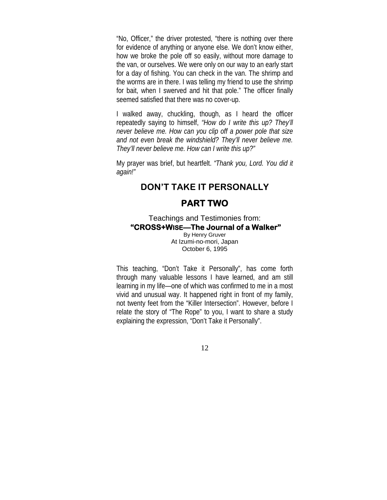"No, Officer," the driver protested, "there is nothing over there for evidence of anything or anyone else. We don't know either, how we broke the pole off so easily, without more damage to the van, or ourselves. We were only on our way to an early start for a day of fishing. You can check in the van. The shrimp and the worms are in there. I was telling my friend to use the shrimp for bait, when I swerved and hit that pole." The officer finally seemed satisfied that there was no cover-up.

I walked away, chuckling, though, as I heard the officer repeatedly saying to himself, *"How do I write this up? They'll never believe me. How can you clip off a power pole that size and not even break the windshield? They'll never believe me. They'll never believe me. How can I write this up?"*

My prayer was brief, but heartfelt. *"Thank you, Lord. You did it again!"* 

### **DON'T TAKE IT PERSONALLY**

### **PART TWO**

Teachings and Testimonies from: **"CROSS+WISE—The Journal of a Walker"**  By Henry Gruver At Izumi-no-mori, Japan

October 6, 1995

This teaching, "Don't Take it Personally", has come forth through many valuable lessons I have learned, and am still learning in my life—one of which was confirmed to me in a most vivid and unusual way. It happened right in front of my family, not twenty feet from the "Killer Intersection". However, before I relate the story of "The Rope" to you, I want to share a study explaining the expression, "Don't Take it Personally".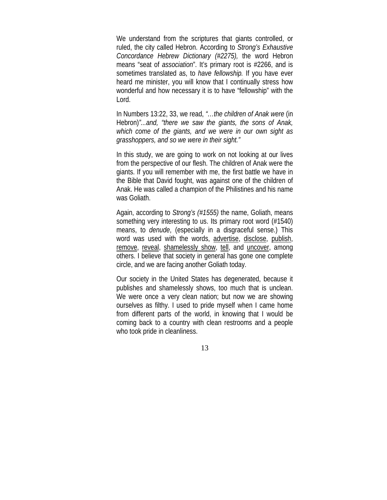We understand from the scriptures that giants controlled, or ruled, the city called Hebron. According to *Strong's Exhaustive Concordance Hebrew Dictionary (#2275),* the word Hebron means "seat of *association*". It's primary root is #2266, and is sometimes translated as, to *have fellowship.* If you have ever heard me minister, you will know that I continually stress how wonderful and how necessary it is to have "fellowship" with the Lord.

In Numbers 13:22, 33, we read, *"…the children of Anak were* (in Hebron)*"...and, "there we saw the giants, the sons of Anak, which come of the giants, and we were in our own sight as grasshoppers, and so we were in their sight."* 

In this study, we are going to work on not looking at our lives from the perspective of our flesh. The children of Anak were the giants. If you will remember with me, the first battle we have in the Bible that David fought, was against one of the children of Anak. He was called a champion of the Philistines and his name was Goliath.

Again, according to *Strong's (#1555)* the name, Goliath, means something very interesting to us. Its primary root word (#1540) means, to *denude*, (especially in a disgraceful sense.) This word was used with the words, advertise, disclose, publish, remove, reveal, shamelessly show, tell, and uncover, among others. I believe that society in general has gone one complete circle, and we are facing another Goliath today.

Our society in the United States has degenerated, because it publishes and shamelessly shows, too much that is unclean. We were once a very clean nation; but now we are showing ourselves as filthy. I used to pride myself when I came home from different parts of the world, in knowing that I would be coming back to a country with clean restrooms and a people who took pride in cleanliness.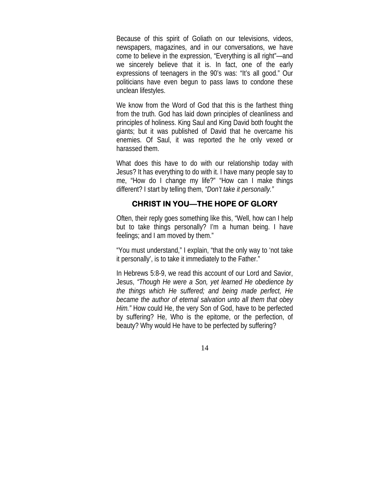Because of this spirit of Goliath on our televisions, videos, newspapers, magazines, and in our conversations, we have come to believe in the expression, "Everything is all right"—and we sincerely believe that it is. In fact, one of the early expressions of teenagers in the 90's was: "It's all good." Our politicians have even begun to pass laws to condone these unclean lifestyles.

We know from the Word of God that this is the farthest thing from the truth. God has laid down principles of cleanliness and principles of holiness. King Saul and King David both fought the giants; but it was published of David that he overcame his enemies. Of Saul, it was reported the he only vexed or harassed them.

What does this have to do with our relationship today with Jesus? It has everything to do with it. I have many people say to me, "How do I change my life?" "How can I make things different? I start by telling them, *"Don't take it personally."*

#### **CHRIST IN YOU—THE HOPE OF GLORY**

Often, their reply goes something like this, "Well, how can I help but to take things personally? I'm a human being. I have feelings; and I am moved by them."

"You must understand," I explain, "that the only way to 'not take it personally', is to take it immediately to the Father."

In Hebrews 5:8-9, we read this account of our Lord and Savior, Jesus, *"Though He were a Son, yet learned He obedience by the things which He suffered; and being made perfect, He became the author of eternal salvation unto all them that obey Him."* How could He, the very Son of God, have to be perfected by suffering? He, Who is the epitome, or the perfection, of beauty? Why would He have to be perfected by suffering?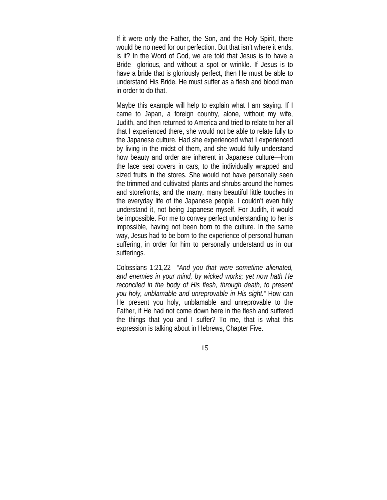If it were only the Father, the Son, and the Holy Spirit, there would be no need for our perfection. But that isn't where it ends, is it? In the Word of God, we are told that Jesus is to have a Bride—glorious, and without a spot or wrinkle. If Jesus is to have a bride that is gloriously perfect, then He must be able to understand His Bride. He must suffer as a flesh and blood man in order to do that.

Maybe this example will help to explain what I am saying. If I came to Japan, a foreign country, alone, without my wife, Judith, and then returned to America and tried to relate to her all that I experienced there, she would not be able to relate fully to the Japanese culture. Had she experienced what I experienced by living in the midst of them, and she would fully understand how beauty and order are inherent in Japanese culture—from the lace seat covers in cars, to the individually wrapped and sized fruits in the stores. She would not have personally seen the trimmed and cultivated plants and shrubs around the homes and storefronts, and the many, many beautiful little touches in the everyday life of the Japanese people. I couldn't even fully understand it, not being Japanese myself. For Judith, it would be impossible. For me to convey perfect understanding to her is impossible, having not been born to the culture. In the same way, Jesus had to be born to the experience of personal human suffering, in order for him to personally understand us in our sufferings.

Colossians 1:21,22—*"And you that were sometime alienated, and enemies in your mind, by wicked works; yet now hath He reconciled in the body of His flesh, through death, to present you holy, unblamable and unreprovable in His sight."* How can He present you holy, unblamable and unreprovable to the Father, if He had not come down here in the flesh and suffered the things that you and I suffer? To me, that is what this expression is talking about in Hebrews, Chapter Five.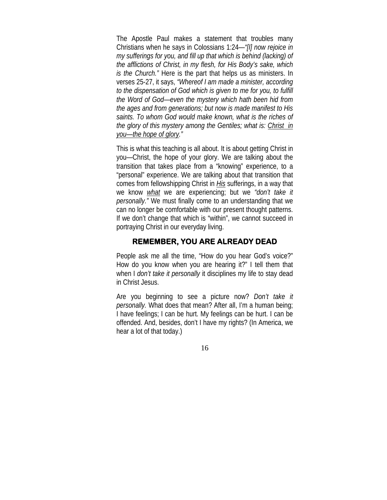The Apostle Paul makes a statement that troubles many Christians when he says in Colossians 1:24—*"[I] now rejoice in my sufferings for you, and fill up that which is behind (lacking) of the afflictions of Christ, in my flesh, for His Body's sake, which is the Church."* Here is the part that helps us as ministers. In verses 25-27, it says, *"Whereof I am made a minister, according to the dispensation of God which is given to me for you, to fulfill the Word of God—even the mystery which hath been hid from the ages and from generations; but now is made manifest to His saints. To whom God would make known, what is the riches of the glory of this mystery among the Gentiles; what is: Christ in you—the hope of glory."*

This is what this teaching is all about. It is about getting Christ in you—Christ, the hope of your glory. We are talking about the transition that takes place from a "knowing" experience, to a "personal" experience. We are talking about that transition that comes from fellowshipping Christ in *His* sufferings, in a way that we know *what* we are experiencing; but we *"don't take it personally."* We must finally come to an understanding that we can no longer be comfortable with our present thought patterns. If we don't change that which is "within", we cannot succeed in portraying Christ in our everyday living.

#### **REMEMBER, YOU ARE ALREADY DEAD**

People ask me all the time, "How do you hear God's voice?" How do you know when you are hearing it?" I tell them that when I *don't take it personally* it disciplines my life to stay dead in Christ Jesus.

Are you beginning to see a picture now? *Don't take it personally.* What does that mean? After all, I'm a human being; I have feelings; I can be hurt. My feelings can be hurt. I can be offended. And, besides, don't I have my rights? (In America, we hear a lot of that today.)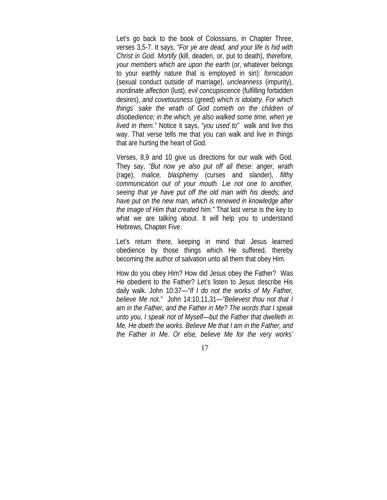Let's go back to the book of Colossians, in Chapter Three, verses 3,5-7. It says, *"For ye are dead, and your life is hid with Christ in God. Mortify* (kill, deaden, or, put to death), *therefore, your members which are upon the earth* (or, whatever belongs to your earthly nature that is employed in sin): *fornication* (sexual conduct outside of marriage), *uncleanness* (impurity), *inordinate affection* (lust), *evil concupiscence* (fulfilling forbidden desires), *and covetousness* (greed) *which is idolatry. For which things' sake the wrath of God cometh on the children of disobedience; in the which, ye also walked some time, when ye lived in them."* Notice it says, *"you used to"* walk and live this way. That verse tells me that you can walk and live in things that are hurting the heart of God.

Verses, 8,9 and 10 give us directions for our walk with God. They say, *"But now ye also put off all these: anger, wrath* (rage), *malice, blasphemy* (curses and slander), *filthy communication out of your mouth. Lie not one to another, seeing that ye have put off the old man with his deeds; and have put on the new man, which is renewed in knowledge after the image of Him that created him."* That last verse is the key to what we are talking about. It will help you to understand Hebrews, Chapter Five.

Let's return there, keeping in mind that Jesus learned obedience by those things which He suffered, thereby becoming the author of salvation unto all them that obey Him.

How do you obey Him? How did Jesus obey the Father? Was He obedient to the Father? Let's listen to Jesus describe His daily walk. John 10:37—*"If I do not the works of My Father, believe Me not."* John 14:10,11,31—*"Believest thou not that I am in the Father, and the Father in Me? The words that I speak unto you, I speak not of Myself—but the Father that dwelleth in Me, He doeth the works. Believe Me that I am in the Father, and the Father in Me. Or else, believe Me for the very works'*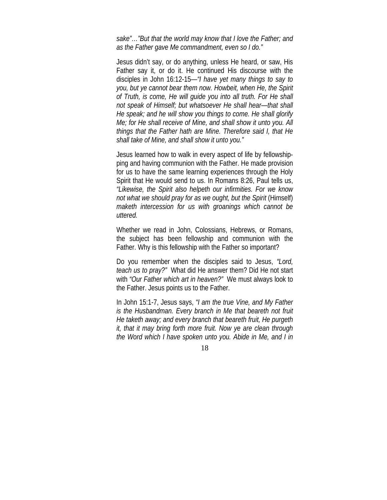*sake"…"But that the world may know that I love the Father; and as the Father gave Me commandment, even so I do."*

Jesus didn't say, or do anything, unless He heard, or saw, His Father say it, or do it. He continued His discourse with the disciples in John 16:12-15—*"I have yet many things to say to you, but ye cannot bear them now. Howbeit, when He, the Spirit of Truth, is come, He will guide you into all truth. For He shall not speak of Himself; but whatsoever He shall hear—that shall He speak; and he will show you things to come. He shall glorify Me; for He shall receive of Mine, and shall show it unto you. All things that the Father hath are Mine. Therefore said I, that He shall take of Mine, and shall show it unto you."*

Jesus learned how to walk in every aspect of life by fellowshipping and having communion with the Father. He made provision for us to have the same learning experiences through the Holy Spirit that He would send to us. In Romans 8:26, Paul tells us, *"Likewise, the Spirit also helpeth our infirmities. For we know not what we should pray for as we ought, but the Spirit* (Himself) *maketh intercession for us with groanings which cannot be uttered.*

Whether we read in John, Colossians, Hebrews, or Romans, the subject has been fellowship and communion with the Father. Why is this fellowship with the Father so important?

Do you remember when the disciples said to Jesus, *"Lord, teach us to pray?"* What did He answer them? Did He not start with *"Our Father which art in heaven?"* We must always look to the Father. Jesus points us to the Father.

In John 15:1-7, Jesus says, *"I am the true Vine, and My Father is the Husbandman. Every branch in Me that beareth not fruit He taketh away; and every branch that beareth fruit, He purgeth it, that it may bring forth more fruit. Now ye are clean through the Word which I have spoken unto you. Abide in Me, and I in*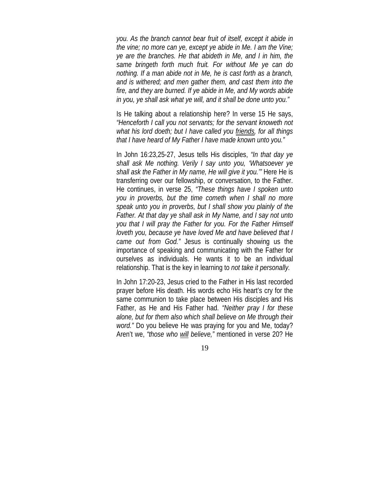*you. As the branch cannot bear fruit of itself, except it abide in the vine; no more can ye, except ye abide in Me. I am the Vine; ye are the branches. He that abideth in Me, and I in him, the same bringeth forth much fruit. For without Me ye can do nothing. If a man abide not in Me, he is cast forth as a branch, and is withered; and men gather them, and cast them into the fire, and they are burned. If ye abide in Me, and My words abide in you, ye shall ask what ye will, and it shall be done unto you."*

Is He talking about a relationship here? In verse 15 He says, *"Henceforth I call you not servants; for the servant knoweth not what his lord doeth; but I have called you friends, for all things that I have heard of My Father I have made known unto you."*

In John 16:23,25-27, Jesus tells His disciples, *"In that day ye shall ask Me nothing. Verily I say unto you, 'Whatsoever ye shall ask the Father in My name, He will give it you.'"* Here He is transferring over our fellowship, or conversation, to the Father. He continues, in verse 25, *"These things have I spoken unto you in proverbs, but the time cometh when I shall no more speak unto you in proverbs, but I shall show you plainly of the Father. At that day ye shall ask in My Name, and I say not unto you that I will pray the Father for you. For the Father Himself loveth you, because ye have loved Me and have believed that I came out from God."* Jesus is continually showing us the importance of speaking and communicating with the Father for ourselves as individuals. He wants it to be an individual relationship. That is the key in learning to *not take it personally.*

In John 17:20-23, Jesus cried to the Father in His last recorded prayer before His death. His words echo His heart's cry for the same communion to take place between His disciples and His Father, as He and His Father had. *"Neither pray I for these alone, but for them also which shall believe on Me through their word."* Do you believe He was praying for you and Me, today? Aren't we, *"those who will believe,"* mentioned in verse 20? He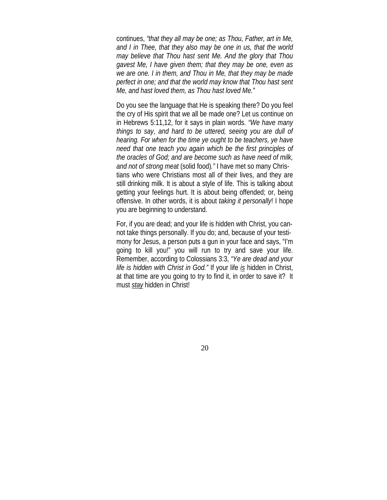continues, *"that they all may be one; as Thou, Father, art in Me, and I in Thee, that they also may be one in us, that the world may believe that Thou hast sent Me. And the glory that Thou gavest Me, I have given them; that they may be one, even as we are one. I in them, and Thou in Me, that they may be made perfect in one; and that the world may know that Thou hast sent Me, and hast loved them, as Thou hast loved Me."* 

Do you see the language that He is speaking there? Do you feel the cry of His spirit that we all be made one? Let us continue on in Hebrews 5:11,12, for it says in plain words. *"We have many things to say, and hard to be uttered, seeing you are dull of hearing. For when for the time ye ought to be teachers, ye have need that one teach you again which be the first principles of the oracles of God; and are become such as have need of milk, and not of strong meat* (solid food)*."* I have met so many Christians who were Christians most all of their lives, and they are still drinking milk. It is about a style of life. This is talking about getting your feelings hurt. It is about being offended; or, being offensive. In other words, it is about *taking it personally*! I hope you are beginning to understand.

For, if you are dead; and your life is hidden with Christ, you cannot take things personally. If you do; and, because of your testimony for Jesus, a person puts a gun in your face and says, "I'm going to kill you!" you will run to try and save your life. Remember, according to Colossians 3:3, *"Ye are dead and your life is hidden with Christ in God."* If your life *is* hidden in Christ, at that time are you going to try to find it, in order to save it? It must *stay* hidden in Christ!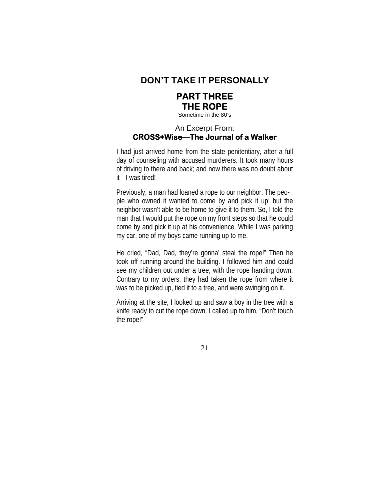

### **PART THREE THE ROPE**

Sometime in the 80's

#### An Excerpt From: **CROSS+Wise—The Journal of a Walker**

I had just arrived home from the state penitentiary, after a full day of counseling with accused murderers. It took many hours of driving to there and back; and now there was no doubt about it—I was tired!

Previously, a man had loaned a rope to our neighbor. The people who owned it wanted to come by and pick it up; but the neighbor wasn't able to be home to give it to them. So, I told the man that I would put the rope on my front steps so that he could come by and pick it up at his convenience. While I was parking my car, one of my boys came running up to me.

He cried, "Dad, Dad, they're gonna' steal the rope!" Then he took off running around the building. I followed him and could see my children out under a tree, with the rope handing down. Contrary to my orders, they had taken the rope from where it was to be picked up, tied it to a tree, and were swinging on it.

Arriving at the site, I looked up and saw a boy in the tree with a knife ready to cut the rope down. I called up to him, "Don't touch the rope!"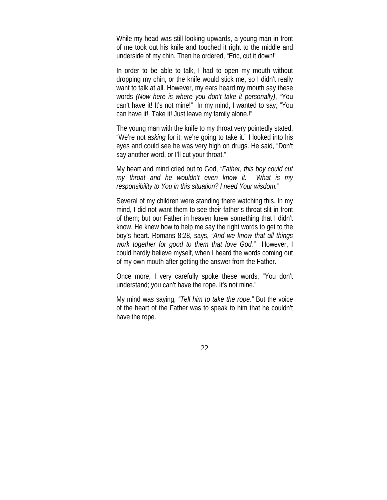While my head was still looking upwards, a young man in front of me took out his knife and touched it right to the middle and underside of my chin. Then he ordered, "Eric, cut it down!"

In order to be able to talk, I had to open my mouth without dropping my chin, or the knife would stick me, so I didn't really want to talk at all. However, my ears heard my mouth say these words *(Now here is where you don't take it personally)*, "You can't have it! It's not mine!" In my mind, I wanted to say, "You can have it! Take it! Just leave my family alone.!"

The young man with the knife to my throat very pointedly stated, "We're not *asking* for it; we're going to take it." I looked into his eyes and could see he was very high on drugs. He said, "Don't say another word, or I'll cut your throat."

My heart and mind cried out to God, *"Father, this boy could cut my throat and he wouldn't even know it. What is my responsibility to You in this situation? I need Your wisdom."*

Several of my children were standing there watching this. In my mind, I did not want them to see their father's throat slit in front of them; but our Father in heaven knew something that I didn't know. He knew how to help me say the right words to get to the boy's heart. Romans 8:28, says, *"And we know that all things work together for good to them that love God."* However, I could hardly believe myself, when I heard the words coming out of my own mouth after getting the answer from the Father.

Once more, I very carefully spoke these words, "You don't understand; you can't have the rope. It's not mine."

My mind was saying, *"Tell him to take the rope."* But the voice of the heart of the Father was to speak to him that he couldn't have the rope.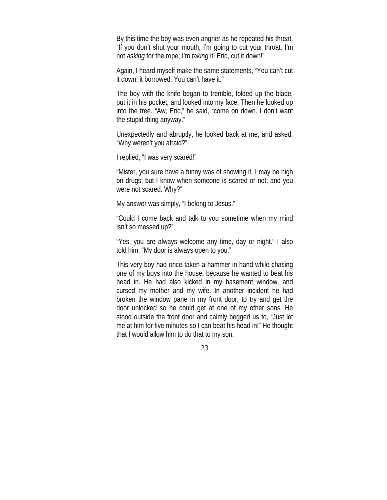By this time the boy was even angrier as he repeated his threat, "If you don't shut your mouth, I'm going to cut your throat. I'm not *asking* for the rope; I'm *taking* it! Eric, cut it down!"

Again, I heard myself make the same statements, "You can't cut it down; it borrowed. You can't have it."

The boy with the knife began to tremble, folded up the blade, put it in his pocket, and looked into my face. Then he looked up into the tree. "Aw, Eric," he said, "come on down. I don't want the stupid thing anyway."

Unexpectedly and abruptly, he looked back at me, and asked, "Why weren't you afraid?"

I replied, "I was very scared!"

"Mister, you sure have a funny was of showing it. I may be high on drugs; but I know when someone is scared or not; and you were not scared. Why?"

My answer was simply, "I belong to Jesus."

"Could I come back and talk to you sometime when my mind isn't so messed up?"

"Yes, you are always welcome any time, day or night." I also told him, "My door is always open to you."

This very boy had once taken a hammer in hand while chasing one of my boys into the house, because he wanted to beat his head in. He had also kicked in my basement window, and cursed my mother and my wife. In another incident he had broken the window pane in my front door, to try and get the door unlocked so he could get at one of my other sons. He stood outside the front door and calmly begged us to, "Just let me at him for five minutes so I can beat his head in!" He thought that I would allow him to do that to my son.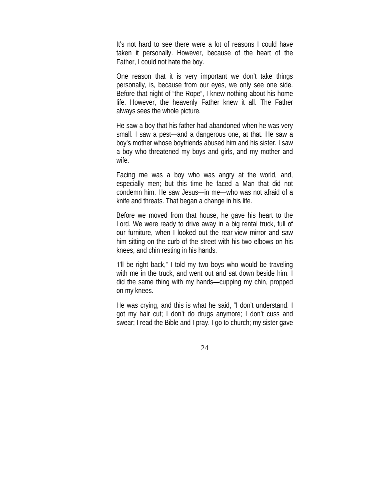It's not hard to see there were a lot of reasons I could have taken it personally. However, because of the heart of the Father, I could not hate the boy.

One reason that it is very important we don't take things personally, is, because from our eyes, we only see one side. Before that night of "the Rope", I knew nothing about his home life. However, the heavenly Father knew it all. The Father always sees the whole picture.

He saw a boy that his father had abandoned when he was very small. I saw a pest—and a dangerous one, at that. He saw a boy's mother whose boyfriends abused him and his sister. I saw a boy who threatened my boys and girls, and my mother and wife.

Facing me was a boy who was angry at the world, and, especially men; but this time he faced a Man that did not condemn him. He saw Jesus—in me—who was not afraid of a knife and threats. That began a change in his life.

Before we moved from that house, he gave his heart to the Lord. We were ready to drive away in a big rental truck, full of our furniture, when I looked out the rear-view mirror and saw him sitting on the curb of the street with his two elbows on his knees, and chin resting in his hands.

'I'll be right back," I told my two boys who would be traveling with me in the truck, and went out and sat down beside him. I did the same thing with my hands—cupping my chin, propped on my knees.

He was crying, and this is what he said, "I don't understand. I got my hair cut; I don't do drugs anymore; I don't cuss and swear; I read the Bible and I pray. I go to church; my sister gave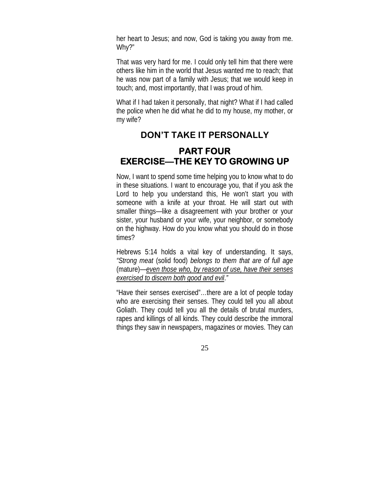her heart to Jesus; and now, God is taking you away from me. Why?"

That was very hard for me. I could only tell him that there were others like him in the world that Jesus wanted me to reach; that he was now part of a family with Jesus; that we would keep in touch; and, most importantly, that I was proud of him.

What if I had taken it personally, that night? What if I had called the police when he did what he did to my house, my mother, or my wife?

# **DON'T TAKE IT PERSONALLY PART FOUR EXERCISE—THE KEY TO GROWING UP**

Now, I want to spend some time helping you to know what to do in these situations. I want to encourage you, that if you ask the Lord to help you understand this, He won't start you with someone with a knife at your throat. He will start out with smaller things—like a disagreement with your brother or your sister, your husband or your wife, your neighbor, or somebody on the highway. How do you know what you should do in those times?

Hebrews 5:14 holds a vital key of understanding. It says, *"Strong meat* (solid food) *belongs to them that are of full age*  (mature)*—even those who, by reason of use, have their senses exercised to discern both good and evil*.*"*

"Have their senses exercised"…there are a lot of people today who are exercising their senses. They could tell you all about Goliath. They could tell you all the details of brutal murders, rapes and killings of all kinds. They could describe the immoral things they saw in newspapers, magazines or movies. They can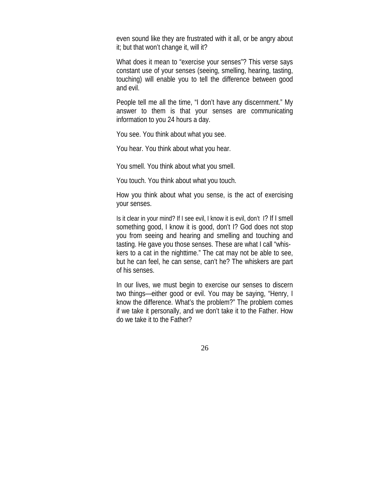even sound like they are frustrated with it all, or be angry about it; but that won't change it, will it?

What does it mean to "exercise your senses"? This verse says constant use of your senses (seeing, smelling, hearing, tasting, touching) will enable you to tell the difference between good and evil.

People tell me all the time, "I don't have any discernment." My answer to them is that your senses are communicating information to you 24 hours a day.

You see. You think about what you see.

You hear. You think about what you hear.

You smell. You think about what you smell.

You touch. You think about what you touch.

How you think about what you sense, is the act of exercising your senses.

Is it clear in your mind? If I see evil, I know it is evil, don't I? If I smell something good, I know it is good, don't I? God does not stop you from seeing and hearing and smelling and touching and tasting. He gave you those senses. These are what I call "whiskers to a cat in the nighttime." The cat may not be able to see, but he can feel, he can sense, can't he? The whiskers are part of his senses.

In our lives, we must begin to exercise our senses to discern two things—either good or evil. You may be saying, "Henry, I know the difference. What's the problem?" The problem comes if we take it personally, and we don't take it to the Father. How do we take it to the Father?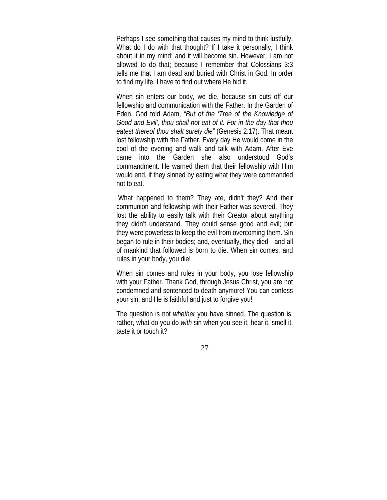Perhaps I see something that causes my mind to think lustfully. What do I do with that thought? If I take it personally, I think about it in my mind; and it will become sin. However, I am not allowed to do that; because I remember that Colossians 3:3 tells me that I am dead and buried with Christ in God. In order to find my life, I have to find out where He hid it.

When sin enters our body, we die, because sin cuts off our fellowship and communication with the Father. In the Garden of Eden, God told Adam, *"But of the 'Tree of the Knowledge of Good and Evil', thou shall not eat of it. For in the day that thou eatest thereof thou shalt surely die"* (Genesis 2:17). That meant lost fellowship with the Father. Every day He would come in the cool of the evening and walk and talk with Adam. After Eve came into the Garden she also understood God's commandment. He warned them that their fellowship with Him would end, if they sinned by eating what they were commanded not to eat.

 What happened to them? They ate, didn't they? And their communion and fellowship with their Father was severed. They lost the ability to easily talk with their Creator about anything they didn't understand. They could sense good and evil; but they were powerless to keep the evil from overcoming them. Sin began to rule in their bodies; and, eventually, they died—and all of mankind that followed is born to die. When sin comes, and rules in your body, you die!

When sin comes and rules in your body, you lose fellowship with your Father. Thank God, through Jesus Christ, you are not condemned and sentenced to death anymore! You can confess your sin; and He is faithful and just to forgive you!

The question is not *whether* you have sinned. The question is, rather, what do you do *with* sin when you see it, hear it, smell it, taste it or touch it?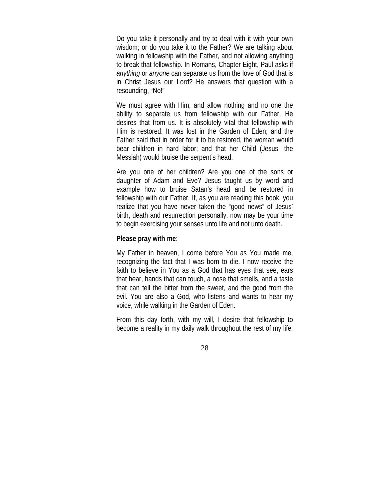Do you take it personally and try to deal with it with your own wisdom; or do you take it to the Father? We are talking about walking in fellowship with the Father, and not allowing anything to break that fellowship. In Romans, Chapter Eight, Paul asks if *anything* or *anyone* can separate us from the love of God that is in Christ Jesus our Lord? He answers that question with a resounding, "No!"

We must agree with Him, and allow nothing and no one the ability to separate us from fellowship with our Father. He desires that from us. It is absolutely vital that fellowship with Him is restored. It was lost in the Garden of Eden; and the Father said that in order for it to be restored, the woman would bear children in hard labor; and that her Child (Jesus—the Messiah) would bruise the serpent's head.

Are you one of her children? Are you one of the sons or daughter of Adam and Eve? Jesus taught us by word and example how to bruise Satan's head and be restored in fellowship with our Father. If, as you are reading this book, you realize that you have never taken the "good news" of Jesus' birth, death and resurrection personally, now may be your time to begin exercising your senses unto life and not unto death.

#### **Please pray with me**:

My Father in heaven, I come before You as You made me, recognizing the fact that I was born to die. I now receive the faith to believe in You as a God that has eyes that see, ears that hear, hands that can touch, a nose that smells, and a taste that can tell the bitter from the sweet, and the good from the evil. You are also a God, who listens and wants to hear my voice, while walking in the Garden of Eden.

From this day forth, with my will, I desire that fellowship to become a reality in my daily walk throughout the rest of my life.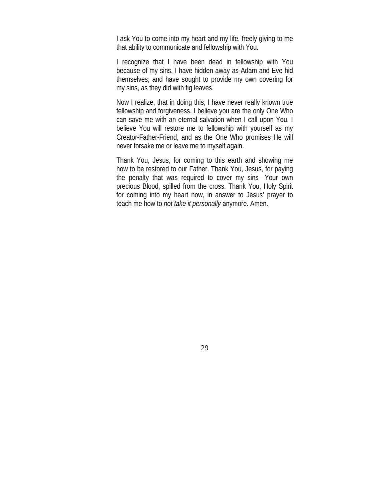I ask You to come into my heart and my life, freely giving to me that ability to communicate and fellowship with You.

I recognize that I have been dead in fellowship with You because of my sins. I have hidden away as Adam and Eve hid themselves; and have sought to provide my own covering for my sins, as they did with fig leaves.

Now I realize, that in doing this, I have never really known true fellowship and forgiveness. I believe you are the only One Who can save me with an eternal salvation when I call upon You. I believe You will restore me to fellowship with yourself as my Creator-Father-Friend, and as the One Who promises He will never forsake me or leave me to myself again.

Thank You, Jesus, for coming to this earth and showing me how to be restored to our Father. Thank You, Jesus, for paying the penalty that was required to cover my sins—Your own precious Blood, spilled from the cross. Thank You, Holy Spirit for coming into my heart now, in answer to Jesus' prayer to teach me how to *not take it personally* anymore. Amen.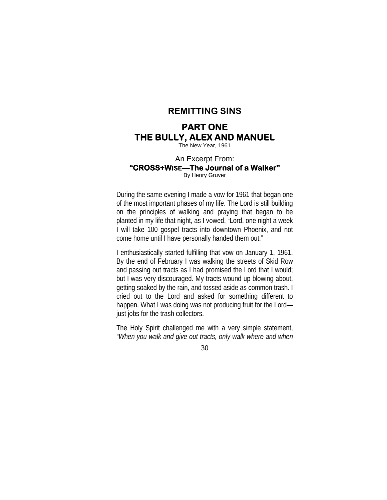#### **REMITTING SINS**

# **PART ONE THE BULLY, ALEX AND MANUEL**

The New Year, 1961

#### An Excerpt From: **"CROSS+WISE—The Journal of a Walker"** By Henry Gruver

During the same evening I made a vow for 1961 that began one of the most important phases of my life. The Lord is still building on the principles of walking and praying that began to be planted in my life that night, as I vowed, "Lord, one night a week I will take 100 gospel tracts into downtown Phoenix, and not come home until I have personally handed them out."

I enthusiastically started fulfilling that vow on January 1, 1961. By the end of February I was walking the streets of Skid Row and passing out tracts as I had promised the Lord that I would; but I was very discouraged. My tracts wound up blowing about, getting soaked by the rain, and tossed aside as common trash. I cried out to the Lord and asked for something different to happen. What I was doing was not producing fruit for the Lord just jobs for the trash collectors.

The Holy Spirit challenged me with a very simple statement, *"When you walk and give out tracts, only walk where and when*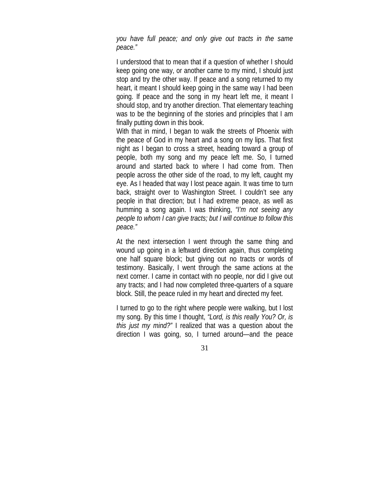*you have full peace; and only give out tracts in the same peace."*

I understood that to mean that if a question of whether I should keep going one way, or another came to my mind, I should just stop and try the other way. If peace and a song returned to my heart, it meant I should keep going in the same way I had been going. If peace and the song in my heart left me, it meant I should stop, and try another direction. That elementary teaching was to be the beginning of the stories and principles that I am finally putting down in this book.

With that in mind, I began to walk the streets of Phoenix with the peace of God in my heart and a song on my lips. That first night as I began to cross a street, heading toward a group of people, both my song and my peace left me. So, I turned around and started back to where I had come from. Then people across the other side of the road, to my left, caught my eye. As I headed that way I lost peace again. It was time to turn back, straight over to Washington Street. I couldn't see any people in that direction; but I had extreme peace, as well as humming a song again. I was thinking, *"I'm not seeing any people to whom I can give tracts; but I will continue to follow this peace."*

At the next intersection I went through the same thing and wound up going in a leftward direction again, thus completing one half square block; but giving out no tracts or words of testimony. Basically, I went through the same actions at the next corner. I came in contact with no people, nor did I give out any tracts; and I had now completed three-quarters of a square block. Still, the peace ruled in my heart and directed my feet.

I turned to go to the right where people were walking, but I lost my song. By this time I thought, *"Lord, is this really You? Or, is this just my mind?"* I realized that was a question about the direction I was going, so, I turned around—and the peace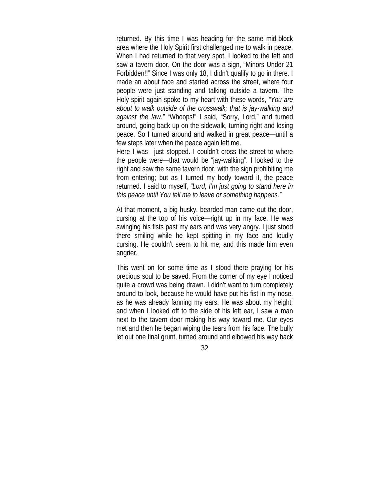returned. By this time I was heading for the same mid-block area where the Holy Spirit first challenged me to walk in peace. When I had returned to that very spot, I looked to the left and saw a tavern door. On the door was a sign, "Minors Under 21 Forbidden!!" Since I was only 18, I didn't qualify to go in there. I made an about face and started across the street, where four people were just standing and talking outside a tavern. The Holy spirit again spoke to my heart with these words, *"You are about to walk outside of the crosswalk; that is jay-walking and against the law."* "Whoops!" I said, "Sorry, Lord," and turned around, going back up on the sidewalk, turning right and losing peace. So I turned around and walked in great peace—until a few steps later when the peace again left me.

Here I was—just stopped. I couldn't cross the street to where the people were—that would be "jay-walking". I looked to the right and saw the same tavern door, with the sign prohibiting me from entering; but as I turned my body toward it, the peace returned. I said to myself, *"Lord, I'm just going to stand here in this peace until You tell me to leave or something happens."*

At that moment, a big husky, bearded man came out the door, cursing at the top of his voice—right up in my face. He was swinging his fists past my ears and was very angry. I just stood there smiling while he kept spitting in my face and loudly cursing. He couldn't seem to hit me; and this made him even angrier.

This went on for some time as I stood there praying for his precious soul to be saved. From the corner of my eye I noticed quite a crowd was being drawn. I didn't want to turn completely around to look, because he would have put his fist in my nose, as he was already fanning my ears. He was about my height; and when I looked off to the side of his left ear, I saw a man next to the tavern door making his way toward me. Our eyes met and then he began wiping the tears from his face. The bully let out one final grunt, turned around and elbowed his way back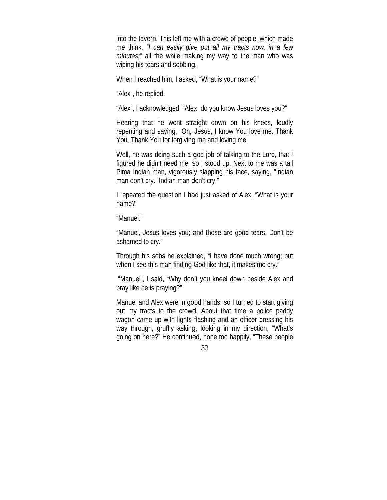into the tavern. This left me with a crowd of people, which made me think, *"I can easily give out all my tracts now, in a few minutes;"* all the while making my way to the man who was wiping his tears and sobbing.

When I reached him, I asked, "What is your name?"

"Alex", he replied.

"Alex", I acknowledged, "Alex, do you know Jesus loves you?"

Hearing that he went straight down on his knees, loudly repenting and saying, "Oh, Jesus, I know You love me. Thank You, Thank You for forgiving me and loving me.

Well, he was doing such a god job of talking to the Lord, that I figured he didn't need me; so I stood up. Next to me was a tall Pima Indian man, vigorously slapping his face, saying, "Indian man don't cry. Indian man don't cry."

I repeated the question I had just asked of Alex, "What is your name?"

"Manuel."

"Manuel, Jesus loves you; and those are good tears. Don't be ashamed to cry."

Through his sobs he explained, "I have done much wrong; but when I see this man finding God like that, it makes me cry."

 "Manuel", I said, "Why don't you kneel down beside Alex and pray like he is praying?"

Manuel and Alex were in good hands; so I turned to start giving out my tracts to the crowd. About that time a police paddy wagon came up with lights flashing and an officer pressing his way through, gruffly asking, looking in my direction, "What's going on here?" He continued, none too happily, "These people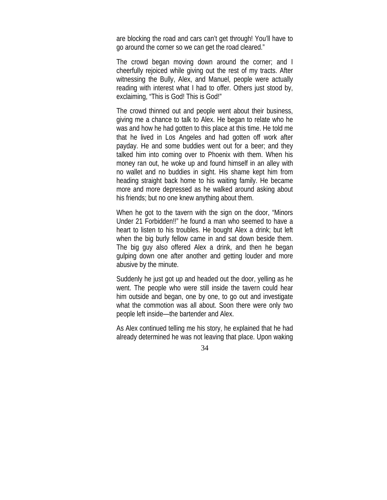are blocking the road and cars can't get through! You'll have to go around the corner so we can get the road cleared."

The crowd began moving down around the corner; and I cheerfully rejoiced while giving out the rest of my tracts. After witnessing the Bully, Alex, and Manuel, people were actually reading with interest what I had to offer. Others just stood by, exclaiming, "This is God! This is God!"

The crowd thinned out and people went about their business, giving me a chance to talk to Alex. He began to relate who he was and how he had gotten to this place at this time. He told me that he lived in Los Angeles and had gotten off work after payday. He and some buddies went out for a beer; and they talked him into coming over to Phoenix with them. When his money ran out, he woke up and found himself in an alley with no wallet and no buddies in sight. His shame kept him from heading straight back home to his waiting family. He became more and more depressed as he walked around asking about his friends; but no one knew anything about them.

When he got to the tavern with the sign on the door, "Minors Under 21 Forbidden!!" he found a man who seemed to have a heart to listen to his troubles. He bought Alex a drink; but left when the big burly fellow came in and sat down beside them. The big guy also offered Alex a drink, and then he began gulping down one after another and getting louder and more abusive by the minute.

Suddenly he just got up and headed out the door, yelling as he went. The people who were still inside the tavern could hear him outside and began, one by one, to go out and investigate what the commotion was all about. Soon there were only two people left inside—the bartender and Alex.

As Alex continued telling me his story, he explained that he had already determined he was not leaving that place. Upon waking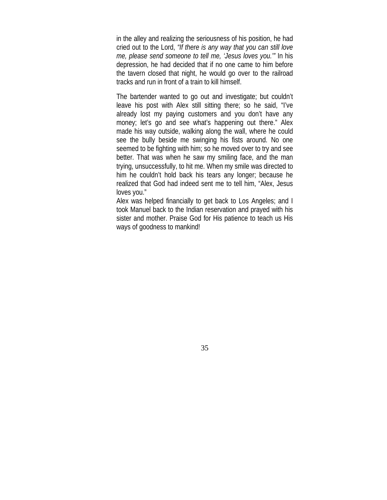in the alley and realizing the seriousness of his position, he had cried out to the Lord, *"If there is any way that you can still love me, please send someone to tell me, 'Jesus loves you.'"* In his depression, he had decided that if no one came to him before the tavern closed that night, he would go over to the railroad tracks and run in front of a train to kill himself.

The bartender wanted to go out and investigate; but couldn't leave his post with Alex still sitting there; so he said, "I've already lost my paying customers and you don't have any money; let's go and see what's happening out there." Alex made his way outside, walking along the wall, where he could see the bully beside me swinging his fists around. No one seemed to be fighting with him; so he moved over to try and see better. That was when he saw my smiling face, and the man trying, unsuccessfully, to hit me. When my smile was directed to him he couldn't hold back his tears any longer; because he realized that God had indeed sent me to tell him, "Alex, Jesus loves you."

Alex was helped financially to get back to Los Angeles; and I took Manuel back to the Indian reservation and prayed with his sister and mother. Praise God for His patience to teach us His ways of goodness to mankind!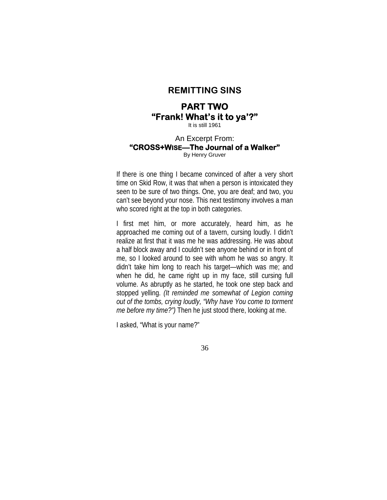#### **REMITTING SINS**

# **PART TWO "Frank! What's it to ya'?"**

It is still 1961

#### An Excerpt From: **"CROSS+WISE—The Journal of a Walker"** By Henry Gruver

If there is one thing I became convinced of after a very short time on Skid Row, it was that when a person is intoxicated they seen to be sure of two things. One, you are deaf; and two, you can't see beyond your nose. This next testimony involves a man who scored right at the top in both categories.

I first met him, or more accurately, heard him, as he approached me coming out of a tavern, cursing loudly. I didn't realize at first that it was me he was addressing. He was about a half block away and I couldn't see anyone behind or in front of me, so I looked around to see with whom he was so angry. It didn't take him long to reach his target—which was me; and when he did, he came right up in my face, still cursing full volume. As abruptly as he started, he took one step back and stopped yelling. *(It reminded me somewhat of Legion coming out of the tombs, crying loudly, "Why have You come to torment me before my time?")* Then he just stood there, looking at me.

I asked, "What is your name?"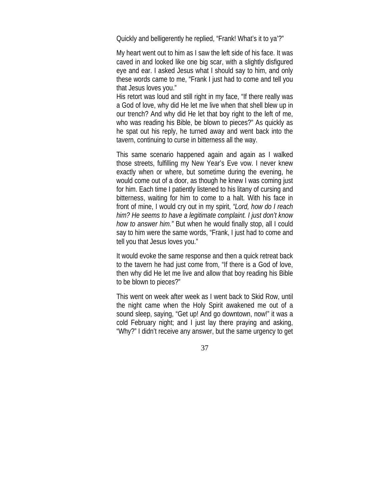Quickly and belligerently he replied, "Frank! What's it to ya'?"

My heart went out to him as I saw the left side of his face. It was caved in and looked like one big scar, with a slightly disfigured eye and ear. I asked Jesus what I should say to him, and only these words came to me, "Frank I just had to come and tell you that Jesus loves you."

His retort was loud and still right in my face, "If there really was a God of love, why did He let me live when that shell blew up in our trench? And why did He let that boy right to the left of me, who was reading his Bible, be blown to pieces?" As quickly as he spat out his reply, he turned away and went back into the tavern, continuing to curse in bitterness all the way.

This same scenario happened again and again as I walked those streets, fulfilling my New Year's Eve vow. I never knew exactly when or where, but sometime during the evening, he would come out of a door, as though he knew I was coming just for him. Each time I patiently listened to his litany of cursing and bitterness, waiting for him to come to a halt. With his face in front of mine, I would cry out in my spirit, *"Lord, how do I reach him? He seems to have a legitimate complaint. I just don't know how to answer him."* But when he would finally stop, all I could say to him were the same words, "Frank, I just had to come and tell you that Jesus loves you."

It would evoke the same response and then a quick retreat back to the tavern he had just come from, "If there is a God of love, then why did He let me live and allow that boy reading his Bible to be blown to pieces?"

This went on week after week as I went back to Skid Row, until the night came when the Holy Spirit awakened me out of a sound sleep, saying, "Get up! And go downtown, now!" it was a cold February night; and I just lay there praying and asking, "Why?" I didn't receive any answer, but the same urgency to get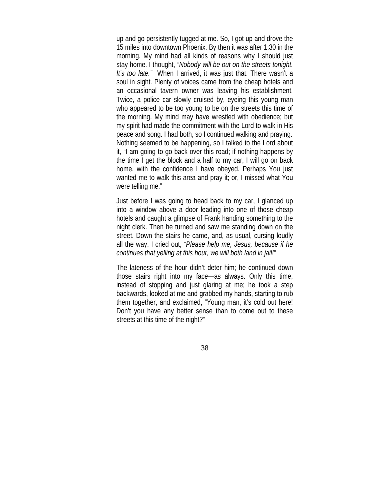up and go persistently tugged at me. So, I got up and drove the 15 miles into downtown Phoenix. By then it was after 1:30 in the morning. My mind had all kinds of reasons why I should just stay home. I thought, *"Nobody will be out on the streets tonight. It's too late."* When I arrived, it was just that. There wasn't a soul in sight. Plenty of voices came from the cheap hotels and an occasional tavern owner was leaving his establishment. Twice, a police car slowly cruised by, eyeing this young man who appeared to be too young to be on the streets this time of the morning. My mind may have wrestled with obedience; but my spirit had made the commitment with the Lord to walk in His peace and song. I had both, so I continued walking and praying. Nothing seemed to be happening, so I talked to the Lord about it, "I am going to go back over this road; if nothing happens by the time I get the block and a half to my car, I will go on back home, with the confidence I have obeyed. Perhaps You just wanted me to walk this area and pray it; or, I missed what You were telling me."

Just before I was going to head back to my car, I glanced up into a window above a door leading into one of those cheap hotels and caught a glimpse of Frank handing something to the night clerk. Then he turned and saw me standing down on the street. Down the stairs he came, and, as usual, cursing loudly all the way. I cried out, *"Please help me, Jesus, because if he continues that yelling at this hour, we will both land in jail!"*

The lateness of the hour didn't deter him; he continued down those stairs right into my face—as always. Only this time, instead of stopping and just glaring at me; he took a step backwards, looked at me and grabbed my hands, starting to rub them together, and exclaimed, "Young man, it's cold out here! Don't you have any better sense than to come out to these streets at this time of the night?"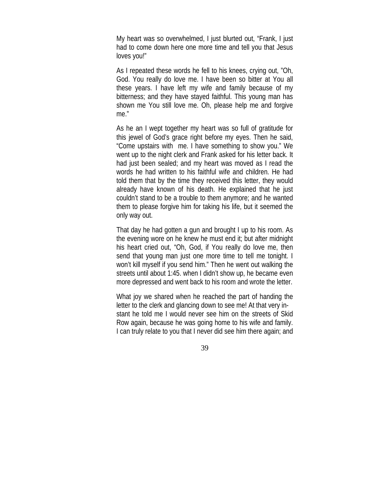My heart was so overwhelmed, I just blurted out, "Frank, I just had to come down here one more time and tell you that Jesus loves you!"

As I repeated these words he fell to his knees, crying out, "Oh, God. You really do love me. I have been so bitter at You all these years. I have left my wife and family because of my bitterness; and they have stayed faithful. This young man has shown me You still love me. Oh, please help me and forgive me."

As he an I wept together my heart was so full of gratitude for this jewel of God's grace right before my eyes. Then he said, "Come upstairs with me. I have something to show you." We went up to the night clerk and Frank asked for his letter back. It had just been sealed; and my heart was moved as I read the words he had written to his faithful wife and children. He had told them that by the time they received this letter, they would already have known of his death. He explained that he just couldn't stand to be a trouble to them anymore; and he wanted them to please forgive him for taking his life, but it seemed the only way out.

That day he had gotten a gun and brought I up to his room. As the evening wore on he knew he must end it; but after midnight his heart cried out, "Oh, God, if You really do love me, then send that young man just one more time to tell me tonight. I won't kill myself if you send him." Then he went out walking the streets until about 1:45. when I didn't show up, he became even more depressed and went back to his room and wrote the letter.

What joy we shared when he reached the part of handing the letter to the clerk and glancing down to see me! At that very instant he told me I would never see him on the streets of Skid Row again, because he was going home to his wife and family. I can truly relate to you that I never did see him there again; and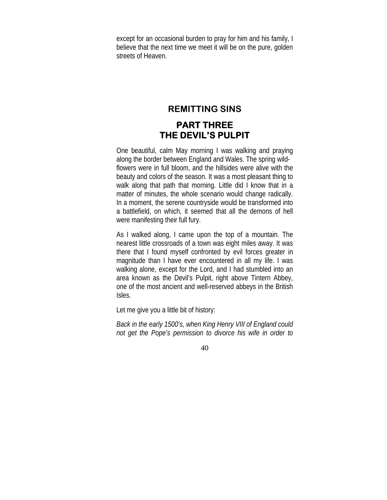except for an occasional burden to pray for him and his family, I believe that the next time we meet it will be on the pure, golden streets of Heaven.

## **REMITTING SINS**

# **PART THREE THE DEVIL'S PULPIT**

One beautiful, calm May morning I was walking and praying along the border between England and Wales. The spring wildflowers were in full bloom, and the hillsides were alive with the beauty and colors of the season. It was a most pleasant thing to walk along that path that morning. Little did I know that in a matter of minutes, the whole scenario would change radically. In a moment, the serene countryside would be transformed into a battlefield, on which, it seemed that all the demons of hell were manifesting their full fury.

As I walked along, I came upon the top of a mountain. The nearest little crossroads of a town was eight miles away. It was there that I found myself confronted by evil forces greater in magnitude than I have ever encountered in all my life. I was walking alone, except for the Lord, and I had stumbled into an area known as the Devil's Pulpit, right above Tintern Abbey, one of the most ancient and well-reserved abbeys in the British Isles.

Let me give you a little bit of history:

*Back in the early 1500's, when King Henry VIII of England could not get the Pope's permission to divorce his wife in order to*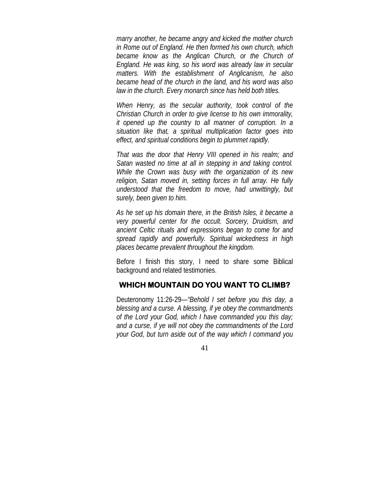*marry another, he became angry and kicked the mother church in Rome out of England. He then formed his own church, which became know as the Anglican Church, or the Church of England. He was king, so his word was already law in secular matters. With the establishment of Anglicanism, he also became head of the church in the land, and his word was also law in the church. Every monarch since has held both titles.*

*When Henry, as the secular authority, took control of the Christian Church in order to give license to his own immorality, it opened up the country to all manner of corruption. In a situation like that, a spiritual multiplication factor goes into effect, and spiritual conditions begin to plummet rapidly.*

*That was the door that Henry VIII opened in his realm; and Satan wasted no time at all in stepping in and taking control. While the Crown was busy with the organization of its new religion, Satan moved in, setting forces in full array. He fully understood that the freedom to move, had unwittingly, but surely, been given to him.*

*As he set up his domain there, in the British Isles, it became a very powerful center for the occult. Sorcery, Druidism, and ancient Celtic rituals and expressions began to come for and spread rapidly and powerfully. Spiritual wickedness in high places became prevalent throughout the kingdom.*

Before I finish this story, I need to share some Biblical background and related testimonies.

### **WHICH MOUNTAIN DO YOU WANT TO CLIMB?**

Deuteronomy 11:26-29—*"Behold I set before you this day, a blessing and a curse. A blessing, if ye obey the commandments of the Lord your God, which I have commanded you this day; and a curse, if ye will not obey the commandments of the Lord your God, but turn aside out of the way which I command you*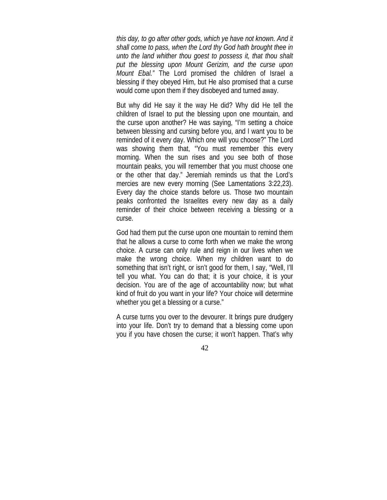*this day, to go after other gods, which ye have not known. And it shall come to pass, when the Lord thy God hath brought thee in unto the land whither thou goest to possess it, that thou shalt put the blessing upon Mount Gerizim, and the curse upon Mount Ebal."* The Lord promised the children of Israel a blessing if they obeyed Him, but He also promised that a curse would come upon them if they disobeyed and turned away.

But why did He say it the way He did? Why did He tell the children of Israel to put the blessing upon one mountain, and the curse upon another? He was saying, "I'm setting a choice between blessing and cursing before you, and I want you to be reminded of it every day. Which one will you choose?" The Lord was showing them that, "You must remember this every morning. When the sun rises and you see both of those mountain peaks, you will remember that you must choose one or the other that day." Jeremiah reminds us that the Lord's mercies are new every morning (See Lamentations 3:22,23). Every day the choice stands before us. Those two mountain peaks confronted the Israelites every new day as a daily reminder of their choice between receiving a blessing or a curse.

God had them put the curse upon one mountain to remind them that he allows a curse to come forth when we make the wrong choice. A curse can only rule and reign in our lives when we make the wrong choice. When my children want to do something that isn't right, or isn't good for them, I say, "Well, I'll tell you what. You can do that; it is your choice, it is your decision. You are of the age of accountability now; but what kind of fruit do you want in your life? Your choice will determine whether you get a blessing or a curse."

A curse turns you over to the devourer. It brings pure drudgery into your life. Don't try to demand that a blessing come upon you if you have chosen the curse; it won't happen. That's why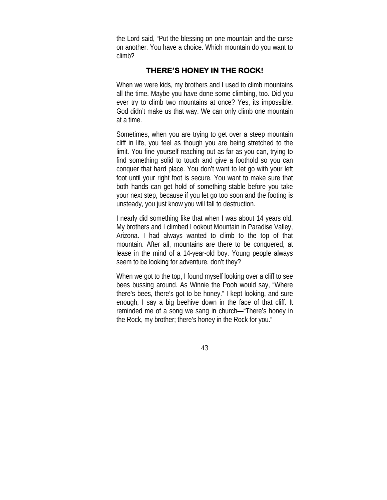the Lord said, "Put the blessing on one mountain and the curse on another. You have a choice. Which mountain do you want to climb?

## **THERE'S HONEY IN THE ROCK!**

When we were kids, my brothers and I used to climb mountains all the time. Maybe you have done some climbing, too. Did you ever try to climb two mountains at once? Yes, its impossible. God didn't make us that way. We can only climb one mountain at a time.

Sometimes, when you are trying to get over a steep mountain cliff in life, you feel as though you are being stretched to the limit. You fine yourself reaching out as far as you can, trying to find something solid to touch and give a foothold so you can conquer that hard place. You don't want to let go with your left foot until your right foot is secure. You want to make sure that both hands can get hold of something stable before you take your next step, because if you let go too soon and the footing is unsteady, you just know you will fall to destruction.

I nearly did something like that when I was about 14 years old. My brothers and I climbed Lookout Mountain in Paradise Valley, Arizona. I had always wanted to climb to the top of that mountain. After all, mountains are there to be conquered, at lease in the mind of a 14-year-old boy. Young people always seem to be looking for adventure, don't they?

When we got to the top, I found myself looking over a cliff to see bees bussing around. As Winnie the Pooh would say, "Where there's bees, there's got to be honey." I kept looking, and sure enough, I say a big beehive down in the face of that cliff. It reminded me of a song we sang in church—"There's honey in the Rock, my brother; there's honey in the Rock for you."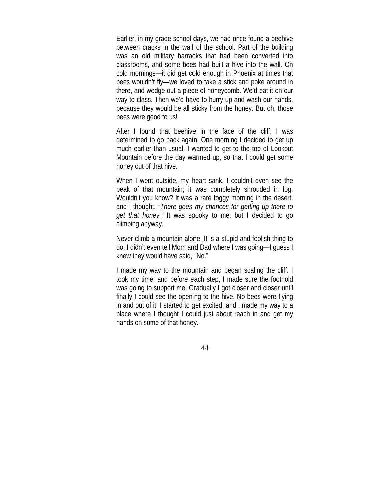Earlier, in my grade school days, we had once found a beehive between cracks in the wall of the school. Part of the building was an old military barracks that had been converted into classrooms, and some bees had built a hive into the wall. On cold mornings—it did get cold enough in Phoenix at times that bees wouldn't fly—we loved to take a stick and poke around in there, and wedge out a piece of honeycomb. We'd eat it on our way to class. Then we'd have to hurry up and wash our hands, because they would be all sticky from the honey. But oh, those bees were good to us!

After I found that beehive in the face of the cliff, I was determined to go back again. One morning I decided to get up much earlier than usual. I wanted to get to the top of Lookout Mountain before the day warmed up, so that I could get some honey out of that hive.

When I went outside, my heart sank. I couldn't even see the peak of that mountain; it was completely shrouded in fog. Wouldn't you know? It was a rare foggy morning in the desert, and I thought, *"There goes my chances for getting up there to get that honey."* It was spooky to me; but I decided to go climbing anyway.

Never climb a mountain alone. It is a stupid and foolish thing to do. I didn't even tell Mom and Dad where I was going—I guess I knew they would have said, "No."

I made my way to the mountain and began scaling the cliff. I took my time, and before each step, I made sure the foothold was going to support me. Gradually I got closer and closer until finally I could see the opening to the hive. No bees were flying in and out of it. I started to get excited, and I made my way to a place where I thought I could just about reach in and get my hands on some of that honey.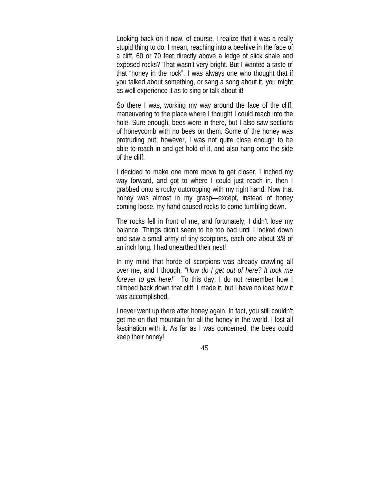Looking back on it now, of course, I realize that it was a really stupid thing to do. I mean, reaching into a beehive in the face of a cliff, 60 or 70 feet directly above a ledge of slick shale and exposed rocks? That wasn't very bright. But I wanted a taste of that "honey in the rock". I was always one who thought that if you talked about something, or sang a song about it, you might as well experience it as to sing or talk about it!

So there I was, working my way around the face of the cliff, maneuvering to the place where I thought I could reach into the hole. Sure enough, bees were in there, but I also saw sections of honeycomb with no bees on them. Some of the honey was protruding out; however, I was not quite close enough to be able to reach in and get hold of it, and also hang onto the side of the cliff.

I decided to make one more move to get closer. I inched my way forward, and got to where I could just reach in. then I grabbed onto a rocky outcropping with my right hand. Now that honey was almost in my grasp—except, instead of honey coming loose, my hand caused rocks to come tumbling down.

The rocks fell in front of me, and fortunately, I didn't lose my balance. Things didn't seem to be too bad until I looked down and saw a small army of tiny scorpions, each one about 3/8 of an inch long. I had unearthed their nest!

In my mind that horde of scorpions was already crawling all over me, and I though, *"How do I get out of here? It took me forever to get here!"* To this day, I do not remember how I climbed back down that cliff. I made it, but I have no idea how it was accomplished.

I never went up there after honey again. In fact, you still couldn't get me on that mountain for all the honey in the world. I lost all fascination with it. As far as I was concerned, the bees could keep their honey!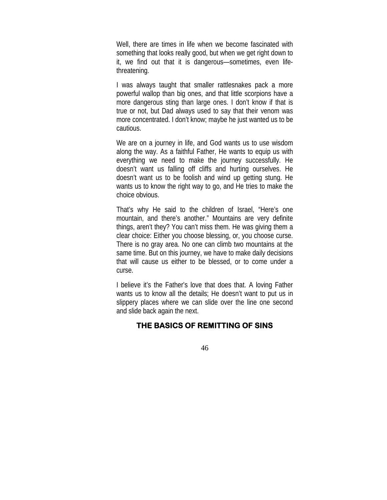Well, there are times in life when we become fascinated with something that looks really good, but when we get right down to it, we find out that it is dangerous—sometimes, even lifethreatening.

I was always taught that smaller rattlesnakes pack a more powerful wallop than big ones, and that little scorpions have a more dangerous sting than large ones. I don't know if that is true or not, but Dad always used to say that their venom was more concentrated. I don't know; maybe he just wanted us to be cautious.

We are on a journey in life, and God wants us to use wisdom along the way. As a faithful Father, He wants to equip us with everything we need to make the journey successfully. He doesn't want us falling off cliffs and hurting ourselves. He doesn't want us to be foolish and wind up getting stung. He wants us to know the right way to go, and He tries to make the choice obvious.

That's why He said to the children of Israel, "Here's one mountain, and there's another." Mountains are very definite things, aren't they? You can't miss them. He was giving them a clear choice: Either you choose blessing, or, you choose curse. There is no gray area. No one can climb two mountains at the same time. But on this journey, we have to make daily decisions that will cause us either to be blessed, or to come under a curse.

I believe it's the Father's love that does that. A loving Father wants us to know all the details; He doesn't want to put us in slippery places where we can slide over the line one second and slide back again the next.

## **THE BASICS OF REMITTING OF SINS**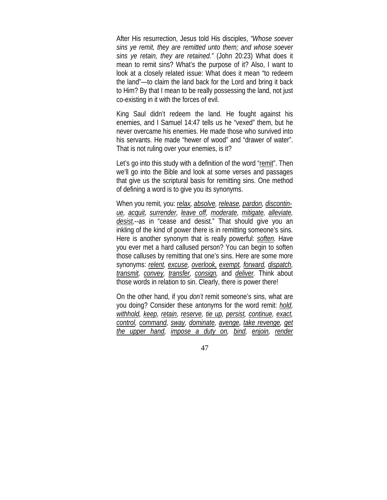After His resurrection, Jesus told His disciples, *"Whose soever sins ye remit, they are remitted unto them; and whose soever sins ye retain, they are retained."* (John 20:23) What does it mean to remit sins? What's the purpose of it? Also, I want to look at a closely related issue: What does it mean "to redeem the land"—to claim the land back for the Lord and bring it back to Him? By that I mean to be really possessing the land, not just co-existing in it with the forces of evil.

King Saul didn't redeem the land. He fought against his enemies, and I Samuel 14:47 tells us he "vexed" them, but he never overcame his enemies. He made those who survived into his servants. He made "hewer of wood" and "drawer of water". That is not ruling over your enemies, is it?

Let's go into this study with a definition of the word "remit". Then we'll go into the Bible and look at some verses and passages that give us the scriptural basis for remitting sins. One method of defining a word is to give you its synonyms.

When you remit, you: *relax, absolve, release, pardon, discontinue, acquit, surrender, leave off, moderate, mitigate, alleviate, desist,*--as in "cease and desist." That should give you an inkling of the kind of power there is in remitting someone's sins. Here is another synonym that is really powerful: *soften.* Have you ever met a hard callused person? You can begin to soften those calluses by remitting that one's sins. Here are some more synonyms: *relent, excuse, overlook, exempt, forward, dispatch, transmit, convey, transfer, consign,* and *deliver.* Think about those words in relation to sin. Clearly, there is power there!

On the other hand, if you *don't* remit someone's sins, what are you doing? Consider these antonyms for the word remit: *hold, withhold, keep, retain, reserve, tie up, persist, continue, exact, control, command, sway, dominate, avenge, take revenge, get the upper hand, impose a duty on, bind, enjoin, render*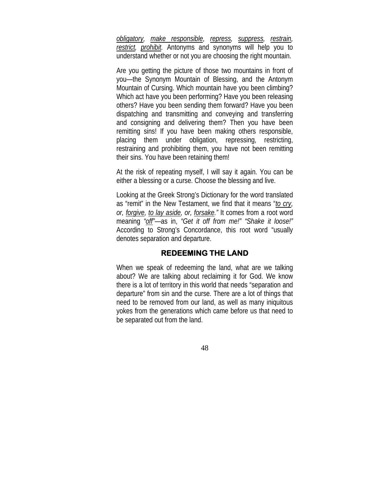*obligatory, make responsible, repress, suppress, restrain, restrict, prohibit.* Antonyms and synonyms will help you to understand whether or not you are choosing the right mountain.

Are you getting the picture of those two mountains in front of you—the Synonym Mountain of Blessing, and the Antonym Mountain of Cursing. Which mountain have you been climbing? Which act have you been performing? Have you been releasing others? Have you been sending them forward? Have you been dispatching and transmitting and conveying and transferring and consigning and delivering them? Then you have been remitting sins! If you have been making others responsible, placing them under obligation, repressing, restricting, restraining and prohibiting them, you have not been remitting their sins. You have been retaining them!

At the risk of repeating myself, I will say it again. You can be either a blessing or a curse. Choose the blessing and live.

Looking at the Greek Strong's Dictionary for the word translated as "remit" in the New Testament, we find that it means "*to cry, or, forgive, to lay aside, or, forsake."* It comes from a root word meaning *"off"*—as in, *"Get it off from me!" "Shake it loose!"* According to Strong's Concordance, this root word "usually denotes separation and departure.

#### **REDEEMING THE LAND**

When we speak of redeeming the land, what are we talking about? We are talking about reclaiming it for God. We know there is a lot of territory in this world that needs "separation and departure" from sin and the curse. There are a lot of things that need to be removed from our land, as well as many iniquitous yokes from the generations which came before us that need to be separated out from the land.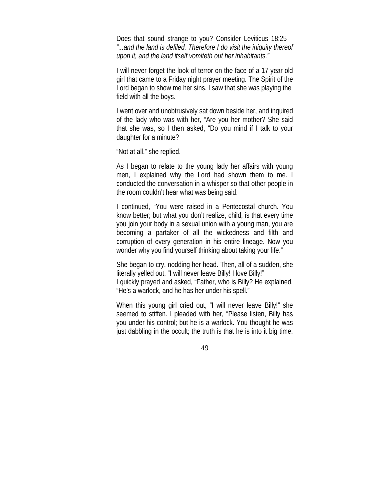Does that sound strange to you? Consider Leviticus 18:25— *"...and the land is defiled. Therefore I do visit the iniquity thereof upon it, and the land itself vomiteth out her inhabitants."*

I will never forget the look of terror on the face of a 17-year-old girl that came to a Friday night prayer meeting. The Spirit of the Lord began to show me her sins. I saw that she was playing the field with all the boys.

I went over and unobtrusively sat down beside her, and inquired of the lady who was with her, "Are you her mother? She said that she was, so I then asked, "Do you mind if I talk to your daughter for a minute?

"Not at all," she replied.

As I began to relate to the young lady her affairs with young men, I explained why the Lord had shown them to me. I conducted the conversation in a whisper so that other people in the room couldn't hear what was being said.

I continued, "You were raised in a Pentecostal church. You know better; but what you don't realize, child, is that every time you join your body in a sexual union with a young man, you are becoming a partaker of all the wickedness and filth and corruption of every generation in his entire lineage. Now you wonder why you find yourself thinking about taking your life."

She began to cry, nodding her head. Then, all of a sudden, she literally yelled out, "I will never leave Billy! I love Billy!" I quickly prayed and asked, "Father, who is Billy? He explained, "He's a warlock, and he has her under his spell."

When this young girl cried out, "I will never leave Billy!" she seemed to stiffen. I pleaded with her, "Please listen, Billy has you under his control; but he is a warlock. You thought he was just dabbling in the occult; the truth is that he is into it big time.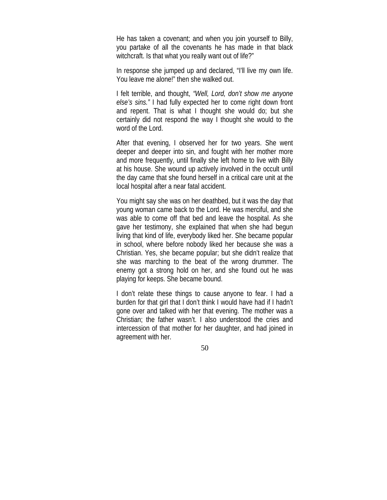He has taken a covenant; and when you join yourself to Billy, you partake of all the covenants he has made in that black witchcraft. Is that what you really want out of life?"

In response she jumped up and declared, "I'll live my own life. You leave me alone!" then she walked out.

I felt terrible, and thought, *"Well, Lord, don't show me anyone else's sins."* I had fully expected her to come right down front and repent. That is what I thought she would do; but she certainly did not respond the way I thought she would to the word of the Lord.

After that evening, I observed her for two years. She went deeper and deeper into sin, and fought with her mother more and more frequently, until finally she left home to live with Billy at his house. She wound up actively involved in the occult until the day came that she found herself in a critical care unit at the local hospital after a near fatal accident.

You might say she was on her deathbed, but it was the day that young woman came back to the Lord. He was merciful, and she was able to come off that bed and leave the hospital. As she gave her testimony, she explained that when she had begun living that kind of life, everybody liked her. She became popular in school, where before nobody liked her because she was a Christian. Yes, she became popular; but she didn't realize that she was marching to the beat of the wrong drummer. The enemy got a strong hold on her, and she found out he was playing for keeps. She became bound.

I don't relate these things to cause anyone to fear. I had a burden for that girl that I don't think I would have had if I hadn't gone over and talked with her that evening. The mother was a Christian; the father wasn't. I also understood the cries and intercession of that mother for her daughter, and had joined in agreement with her.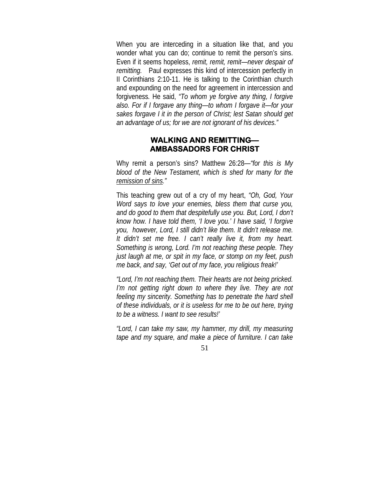When you are interceding in a situation like that, and you wonder what you can do; continue to remit the person's sins. Even if it seems hopeless, *remit, remit, remit—never despair of remitting.* Paul expresses this kind of intercession perfectly in II Corinthians 2:10-11. He is talking to the Corinthian church and expounding on the need for agreement in intercession and forgiveness*.* He said, *"To whom ye forgive any thing, I forgive also. For if I forgave any thing—to whom I forgave it—for your sakes forgave I it in the person of Christ; lest Satan should get an advantage of us; for we are not ignorant of his devices."*

#### **WALKING AND REMITTING— AMBASSADORS FOR CHRIST**

Why remit a person's sins? Matthew 26:28—*"for this is My blood of the New Testament, which is shed for many for the remission of sins."*

This teaching grew out of a cry of my heart, *"Oh, God, Your Word says to love your enemies, bless them that curse you, and do good to them that despitefully use you. But, Lord, I don't know how. I have told them, 'I love you.' I have said, 'I forgive you, however, Lord, I still didn't like them. It didn't release me. It didn't set me free. I can't really live it, from my heart. Something is wrong, Lord. I'm not reaching these people. They just laugh at me, or spit in my face, or stomp on my feet, push me back, and say, 'Get out of my face, you religious freak!'*

*"Lord, I'm not reaching them. Their hearts are not being pricked. I'm not getting right down to where they live. They are not feeling my sincerity. Something has to penetrate the hard shell of these individuals, or it is useless for me to be out here, trying to be a witness. I want to see results!'*

*"Lord, I can take my saw, my hammer, my drill, my measuring tape and my square, and make a piece of furniture. I can take*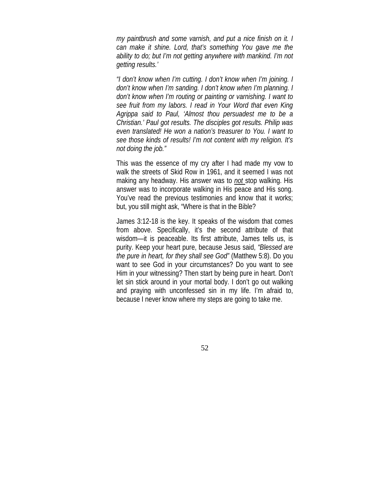*my paintbrush and some varnish, and put a nice finish on it. I can make it shine. Lord, that's something You gave me the ability to do; but I'm not getting anywhere with mankind. I'm not getting results.'*

*"I don't know when I'm cutting. I don't know when I'm joining. I don't know when I'm sanding. I don't know when I'm planning. I don't know when I'm routing or painting or varnishing. I want to see fruit from my labors. I read in Your Word that even King Agrippa said to Paul, 'Almost thou persuadest me to be a Christian.' Paul got results. The disciples got results. Philip was even translated! He won a nation's treasurer to You. I want to see those kinds of results! I'm not content with my religion. It's not doing the job."*

This was the essence of my cry after I had made my vow to walk the streets of Skid Row in 1961, and it seemed I was not making any headway. His answer was to *not* stop walking. His answer was to incorporate walking in His peace and His song. You've read the previous testimonies and know that it works; but, you still might ask, "Where is that in the Bible?

James 3:12-18 is the key. It speaks of the wisdom that comes from above. Specifically, it's the second attribute of that wisdom—it is peaceable. Its first attribute, James tells us, is purity. Keep your heart pure, because Jesus said, *"Blessed are the pure in heart, for they shall see God"* (Matthew 5:8). Do you want to see God in your circumstances? Do you want to see Him in your witnessing? Then start by being pure in heart. Don't let sin stick around in your mortal body. I don't go out walking and praying with unconfessed sin in my life. I'm afraid to, because I never know where my steps are going to take me.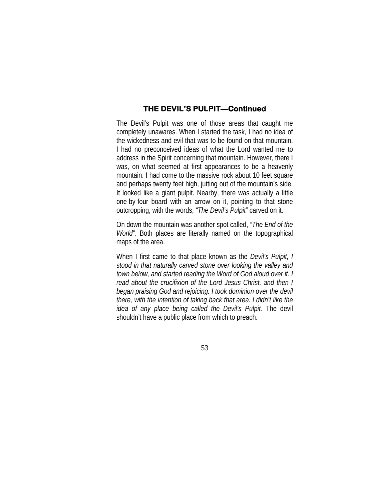## **THE DEVIL'S PULPIT—Continued**

The Devil's Pulpit was one of those areas that caught me completely unawares. When I started the task, I had no idea of the wickedness and evil that was to be found on that mountain. I had no preconceived ideas of what the Lord wanted me to address in the Spirit concerning that mountain. However, there I was, on what seemed at first appearances to be a heavenly mountain. I had come to the massive rock about 10 feet square and perhaps twenty feet high, jutting out of the mountain's side. It looked like a giant pulpit. Nearby, there was actually a little one-by-four board with an arrow on it, pointing to that stone outcropping, with the words, *"The Devil's Pulpit"* carved on it.

On down the mountain was another spot called, *"The End of the World".* Both places are literally named on the topographical maps of the area.

When I first came to that place known as the *Devil's Pulpit, I stood in that naturally carved stone over looking the valley and town below, and started reading the Word of God aloud over it. I read about the crucifixion of the Lord Jesus Christ, and then I began praising God and rejoicing. I took dominion over the devil there, with the intention of taking back that area. I didn't like the idea of any place being called the Devil's Pulpit.* The devil shouldn't have a public place from which to preach.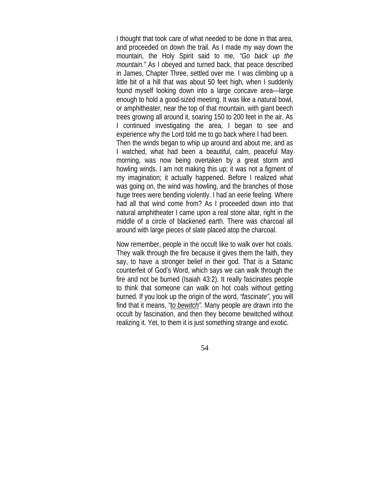I thought that took care of what needed to be done in that area, and proceeded on down the trail. As I made my way down the mountain, the Holy Spirit said to me, *"Go back up the mountain."* As I obeyed and turned back, that peace described in James, Chapter Three, settled over me. I was climbing up a little bit of a hill that was about 50 feet high, when I suddenly found myself looking down into a large concave area—large enough to hold a good-sized meeting. It was like a natural bowl, or amphitheater, near the top of that mountain, with giant beech trees growing all around it, soaring 150 to 200 feet in the air. As I continued investigating the area, I began to see and experience why the Lord told me to go back where I had been. Then the winds began to whip up around and about me, and as I watched, what had been a beautiful, calm, peaceful May morning, was now being overtaken by a great storm and howling winds. I am not making this up; it was not a figment of

my imagination; it actually happened. Before I realized what was going on, the wind was howling, and the branches of those huge trees were bending violently. I had an eerie feeling. Where had all that wind come from? As I proceeded down into that natural amphitheater I came upon a real stone altar, right in the middle of a circle of blackened earth. There was charcoal all around with large pieces of slate placed atop the charcoal.

Now remember, people in the occult like to walk over hot coals. They walk through the fire because it gives them the faith, they say, to have a stronger belief in their god. That is a Satanic counterfeit of God's Word, which says we can walk through the fire and not be burned (Isaiah 43:2). It really fascinates people to think that someone can walk on hot coals without getting burned. If you look up the origin of the word, *"fascinate"*, you will find that it means, *"to bewitch".* Many people are drawn into the occult by fascination, and then they become bewitched without realizing it. Yet, to them it is just something strange and exotic.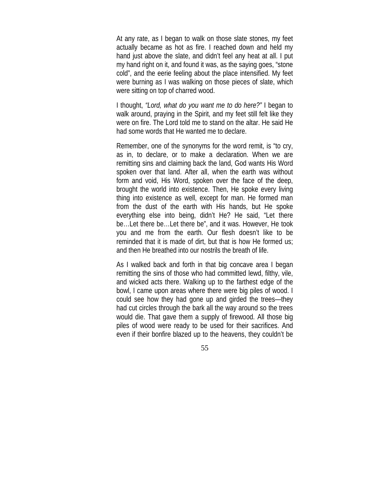At any rate, as I began to walk on those slate stones, my feet actually became as hot as fire. I reached down and held my hand just above the slate, and didn't feel any heat at all. I put my hand right on it, and found it was, as the saying goes, "stone cold", and the eerie feeling about the place intensified. My feet were burning as I was walking on those pieces of slate, which were sitting on top of charred wood.

I thought, *"Lord, what do you want me to do here?"* I began to walk around, praying in the Spirit, and my feet still felt like they were on fire. The Lord told me to stand on the altar. He said He had some words that He wanted me to declare.

Remember, one of the synonyms for the word remit, is "to cry, as in, to declare, or to make a declaration. When we are remitting sins and claiming back the land, God wants His Word spoken over that land. After all, when the earth was without form and void, His Word, spoken over the face of the deep, brought the world into existence. Then, He spoke every living thing into existence as well, except for man. He formed man from the dust of the earth with His hands, but He spoke everything else into being, didn't He? He said, "Let there be…Let there be…Let there be", and it was. However, He took you and me from the earth. Our flesh doesn't like to be reminded that it is made of dirt, but that is how He formed us; and then He breathed into our nostrils the breath of life.

As I walked back and forth in that big concave area I began remitting the sins of those who had committed lewd, filthy, vile, and wicked acts there. Walking up to the farthest edge of the bowl, I came upon areas where there were big piles of wood. I could see how they had gone up and girded the trees—they had cut circles through the bark all the way around so the trees would die. That gave them a supply of firewood. All those big piles of wood were ready to be used for their sacrifices. And even if their bonfire blazed up to the heavens, they couldn't be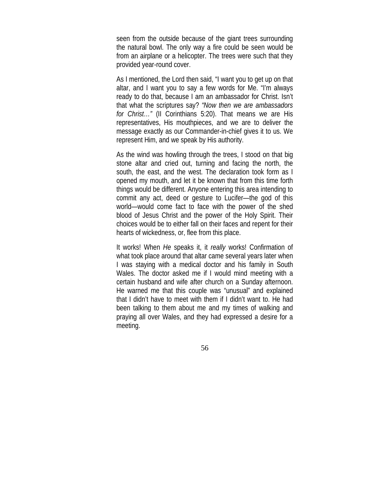seen from the outside because of the giant trees surrounding the natural bowl. The only way a fire could be seen would be from an airplane or a helicopter. The trees were such that they provided year-round cover.

As I mentioned, the Lord then said, "I want you to get up on that altar, and I want you to say a few words for Me. "I'm always ready to do that, because I am an ambassador for Christ. Isn't that what the scriptures say? *"Now then we are ambassadors for Christ…"* (II Corinthians 5:20). That means we are His representatives, His mouthpieces, and we are to deliver the message exactly as our Commander-in-chief gives it to us. We represent Him, and we speak by His authority.

As the wind was howling through the trees, I stood on that big stone altar and cried out, turning and facing the north, the south, the east, and the west. The declaration took form as I opened my mouth, and let it be known that from this time forth things would be different. Anyone entering this area intending to commit any act, deed or gesture to Lucifer—the god of this world—would come fact to face with the power of the shed blood of Jesus Christ and the power of the Holy Spirit. Their choices would be to either fall on their faces and repent for their hearts of wickedness, or, flee from this place.

It works! When *He* speaks it, it *really* works! Confirmation of what took place around that altar came several years later when I was staying with a medical doctor and his family in South Wales. The doctor asked me if I would mind meeting with a certain husband and wife after church on a Sunday afternoon. He warned me that this couple was "unusual" and explained that I didn't have to meet with them if I didn't want to. He had been talking to them about me and my times of walking and praying all over Wales, and they had expressed a desire for a meeting.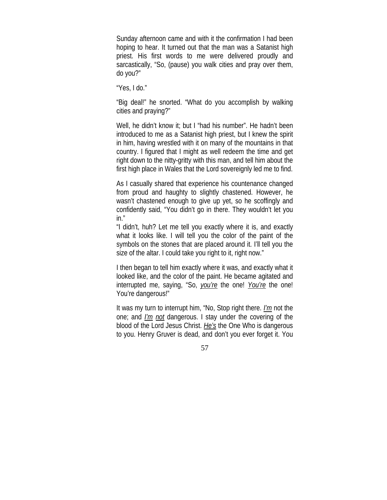Sunday afternoon came and with it the confirmation I had been hoping to hear. It turned out that the man was a Satanist high priest. His first words to me were delivered proudly and sarcastically, "So, (pause) you walk cities and pray over them, do you?"

"Yes, I do."

"Big deal!" he snorted. "What do you accomplish by walking cities and praying?"

Well, he didn't know it; but I "had his number". He hadn't been introduced to me as a Satanist high priest, but I knew the spirit in him, having wrestled with it on many of the mountains in that country. I figured that I might as well redeem the time and get right down to the nitty-gritty with this man, and tell him about the first high place in Wales that the Lord sovereignly led me to find.

As I casually shared that experience his countenance changed from proud and haughty to slightly chastened. However, he wasn't chastened enough to give up yet, so he scoffingly and confidently said, "You didn't go in there. They wouldn't let you in."

"I didn't, huh? Let me tell you exactly where it is, and exactly what it looks like. I will tell you the color of the paint of the symbols on the stones that are placed around it. I'll tell you the size of the altar. I could take you right to it, right now."

I then began to tell him exactly where it was, and exactly what it looked like, and the color of the paint. He became agitated and interrupted me, saying, "So, *you're* the one! *You're* the one! You're dangerous!"

It was my turn to interrupt him, "No, Stop right there. *I'm* not the one; and *I'm not* dangerous. I stay under the covering of the blood of the Lord Jesus Christ. *He's* the One Who is dangerous to you. Henry Gruver is dead, and don't you ever forget it. You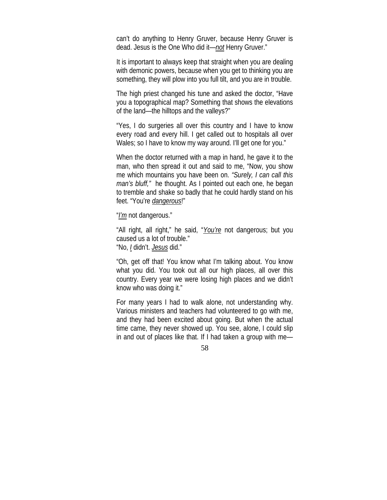can't do anything to Henry Gruver, because Henry Gruver is dead. Jesus is the One Who did it—*not* Henry Gruver."

It is important to always keep that straight when you are dealing with demonic powers, because when you get to thinking you are something, they will plow into you full tilt, and you are in trouble.

The high priest changed his tune and asked the doctor, "Have you a topographical map? Something that shows the elevations of the land—the hilltops and the valleys?"

"Yes, I do surgeries all over this country and I have to know every road and every hill. I get called out to hospitals all over Wales; so I have to know my way around. I'll get one for you."

When the doctor returned with a map in hand, he gave it to the man, who then spread it out and said to me, "Now, you show me which mountains you have been on. *"Surely, I can call this man's bluff,"* he thought. As I pointed out each one, he began to tremble and shake so badly that he could hardly stand on his feet. "You're *dangerous*!"

"*I'm* not dangerous."

"All right, all right," he said, "*You're* not dangerous; but you caused us a lot of trouble." "No, *I* didn't. *Jesus* did."

"Oh, get off that! You know what I'm talking about. You know what you did. You took out all our high places, all over this country. Every year we were losing high places and we didn't know who was doing it."

For many years I had to walk alone, not understanding why. Various ministers and teachers had volunteered to go with me, and they had been excited about going. But when the actual time came, they never showed up. You see, alone, I could slip in and out of places like that. If I had taken a group with me—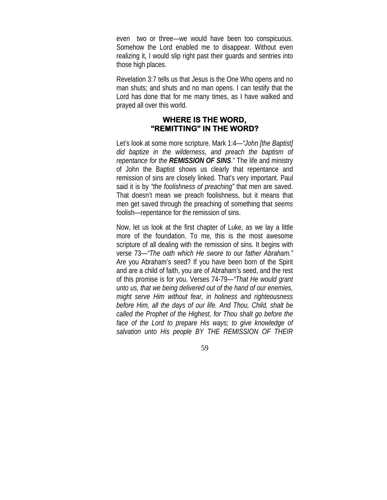even two or three—we would have been too conspicuous. Somehow the Lord enabled me to disappear. Without even realizing it, I would slip right past their guards and sentries into those high places.

Revelation 3:7 tells us that Jesus is the One Who opens and no man shuts; and shuts and no man opens. I can testify that the Lord has done that for me many times, as I have walked and prayed all over this world.

#### **WHERE IS THE WORD, "REMITTING" IN THE WORD?**

Let's look at some more scripture. Mark 1:4—*"John [the Baptist] did baptize in the wilderness, and preach the baptism of repentance for the REMISSION OF SINS*." The life and ministry of John the Baptist shows us clearly that repentance and remission of sins are closely linked. That's very important. Paul said it is by *"the foolishness of preaching"* that men are saved. That doesn't mean we preach foolishness, but it means that men get saved through the preaching of something that *seems* foolish—repentance for the remission of sins.

Now, let us look at the first chapter of Luke, as we lay a little more of the foundation. To me, this is the most awesome scripture of all dealing with the remission of sins. It begins with verse 73—*"The oath which He swore to our father Abraham."* Are you Abraham's seed? If you have been born of the Spirit and are a child of faith, you are of Abraham's seed, and the rest of this promise is for you. Verses 74-79*—"That He would grant unto us, that we being delivered out of the hand of our enemies, might serve Him without fear, in holiness and righteousness before Him, all the days of our life. And Thou, Child, shalt be called the Prophet of the Highest, for Thou shalt go before the*  face of the Lord to prepare His ways; to give knowledge of *salvation unto His people BY THE REMISSION OF THEIR*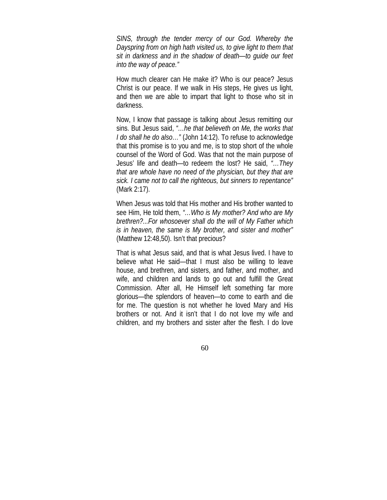*SINS, through the tender mercy of our God. Whereby the Dayspring from on high hath visited us, to give light to them that sit in darkness and in the shadow of death—to guide our feet into the way of peace."*

How much clearer can He make it? Who is our peace? Jesus Christ is our peace. If we walk in His steps, He gives us light, and then we are able to impart that light to those who sit in darkness.

Now, I know that passage is talking about Jesus remitting our sins. But Jesus said, *"…he that believeth on Me, the works that I do shall he do also…"* (John 14:12). To refuse to acknowledge that this promise is to you and me, is to stop short of the whole counsel of the Word of God. Was that not the main purpose of Jesus' life and death—to redeem the lost? He said, *"…They that are whole have no need of the physician, but they that are sick. I came not to call the righteous, but sinners to repentance"*  (Mark 2:17).

When Jesus was told that His mother and His brother wanted to see Him, He told them, *"…Who is My mother? And who are My brethren?...For whosoever shall do the will of My Father which is in heaven, the same is My brother, and sister and mother"*  (Matthew 12:48,50). Isn't that precious?

That is what Jesus said, and that is what Jesus lived. I have to believe what He said—that I must also be willing to leave house, and brethren, and sisters, and father, and mother, and wife, and children and lands to go out and fulfill the Great Commission. After all, He Himself left something far more glorious—the splendors of heaven—to come to earth and die for me. The question is not whether he loved Mary and His brothers or not. And it isn't that I do not love my wife and children, and my brothers and sister after the flesh. I do love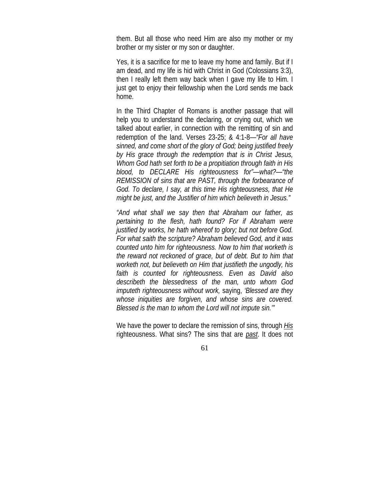them. But all those who need Him are also my mother or my brother or my sister or my son or daughter.

Yes, it is a sacrifice for me to leave my home and family. But if I am dead, and my life is hid with Christ in God (Colossians 3:3), then I really left them way back when I gave my life to Him. I just get to enjoy their fellowship when the Lord sends me back home.

In the Third Chapter of Romans is another passage that will help you to understand the declaring, or crying out, which we talked about earlier, in connection with the remitting of sin and redemption of the land. Verses 23-25; & 4:1-8—*"For all have sinned, and come short of the glory of God; being justified freely by His grace through the redemption that is in Christ Jesus, Whom God hath set forth to be a propitiation through faith in His blood, to DECLARE His righteousness for"—what?—"the REMISSION of sins that are PAST, through the forbearance of God. To declare, I say, at this time His righteousness, that He might be just, and the Justifier of him which believeth in Jesus."*

*"And what shall we say then that Abraham our father, as pertaining to the flesh, hath found? For if Abraham were justified by works, he hath whereof to glory; but not before God. For what saith the scripture? Abraham believed God, and it was counted unto him for righteousness. Now to him that worketh is the reward not reckoned of grace, but of debt. But to him that worketh not, but believeth on Him that justifieth the ungodly, his faith is counted for righteousness. Even as David also describeth the blessedness of the man, unto whom God imputeth righteousness without work,* saying, *'Blessed are they whose iniquities are forgiven, and whose sins are covered. Blessed is the man to whom the Lord will not impute sin.'"* 

We have the power to declare the remission of sins, through *His* righteousness. What sins? The sins that are *past*. It does not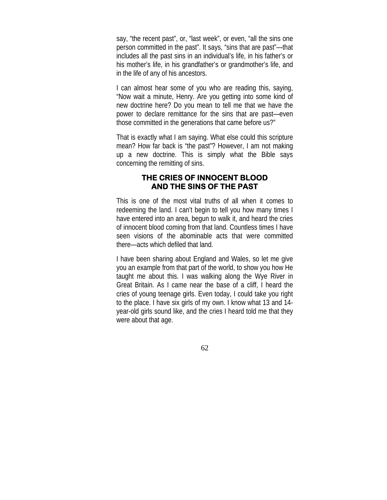say, "the recent past", or, "last week", or even, "all the sins one person committed in the past". It says, "sins that are past"—that includes all the past sins in an individual's life, in his father's or his mother's life, in his grandfather's or grandmother's life, and in the life of any of his ancestors.

I can almost hear some of you who are reading this, saying, "Now wait a minute, Henry. Are you getting into some kind of new doctrine here? Do you mean to tell me that we have the power to declare remittance for the sins that are past—even those committed in the generations that came before us?"

That is exactly what I am saying. What else could this scripture mean? How far back is "the past"? However, I am not making up a new doctrine. This is simply what the Bible says concerning the remitting of sins.

## **THE CRIES OF INNOCENT BLOOD AND THE SINS OF THE PAST**

This is one of the most vital truths of all when it comes to redeeming the land. I can't begin to tell you how many times I have entered into an area, begun to walk it, and heard the cries of innocent blood coming from that land. Countless times I have seen visions of the abominable acts that were committed there—acts which defiled that land.

I have been sharing about England and Wales, so let me give you an example from that part of the world, to show you how He taught me about this. I was walking along the Wye River in Great Britain. As I came near the base of a cliff, I heard the cries of young teenage girls. Even today, I could take you right to the place. I have six girls of my own. I know what 13 and 14 year-old girls sound like, and the cries I heard told me that they were about that age.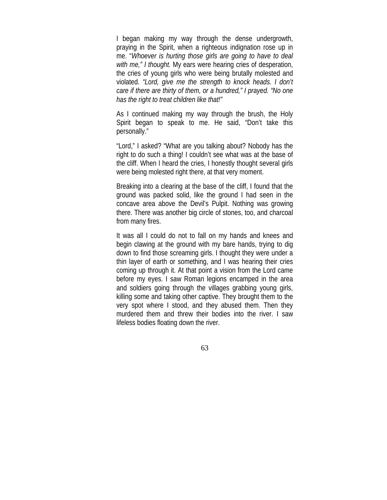I began making my way through the dense undergrowth, praying in the Spirit, when a righteous indignation rose up in me. "*Whoever is hurting those girls are going to have to deal with me," I thought.* My ears were hearing cries of desperation, the cries of young girls who were being brutally molested and violated. *"Lord, give me the strength to knock heads. I don't care if there are thirty of them, or a hundred," I prayed. "No one has the right to treat children like that!"*

As I continued making my way through the brush, the Holy Spirit began to speak to me. He said, "Don't take this personally."

"Lord," I asked? "What are you talking about? Nobody has the right to do such a thing! I couldn't see what was at the base of the cliff. When I heard the cries, I honestly thought several girls were being molested right there, at that very moment.

Breaking into a clearing at the base of the cliff, I found that the ground was packed solid, like the ground I had seen in the concave area above the Devil's Pulpit. Nothing was growing there. There was another big circle of stones, too, and charcoal from many fires.

It was all I could do not to fall on my hands and knees and begin clawing at the ground with my bare hands, trying to dig down to find those screaming girls. I thought they were under a thin layer of earth or something, and I was hearing their cries coming up through it. At that point a vision from the Lord came before my eyes. I saw Roman legions encamped in the area and soldiers going through the villages grabbing young girls, killing some and taking other captive. They brought them to the very spot where I stood, and they abused them. Then they murdered them and threw their bodies into the river. I saw lifeless bodies floating down the river.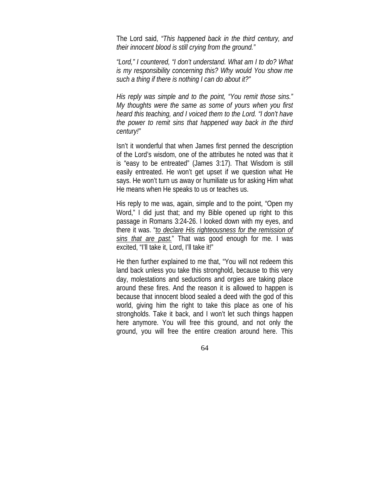The Lord said, *"This happened back in the third century, and their innocent blood is still crying from the ground."*

*"Lord," I countered, "I don't understand. What am I to do? What is my responsibility concerning this? Why would You show me such a thing if there is nothing I can do about it?"* 

*His reply was simple and to the point, "You remit those sins." My thoughts were the same as some of yours when you first heard this teaching, and I voiced them to the Lord. "I don't have the power to remit sins that happened way back in the third century!"*

Isn't it wonderful that when James first penned the description of the Lord's wisdom, one of the attributes he noted was that it is "easy to be entreated" (James 3:17). That Wisdom is still easily entreated. He won't get upset if we question what He says. He won't turn us away or humiliate us for asking Him what He means when He speaks to us or teaches us.

His reply to me was, again, simple and to the point, "Open my Word," I did just that; and my Bible opened up right to this passage in Romans 3:24-26. I looked down with my eyes, and there it was. "*to declare His righteousness for the remission of sins that are past.*" That was good enough for me. I was excited, "I'll take it, Lord, I'll take it!"

He then further explained to me that, "You will not redeem this land back unless you take this stronghold, because to this very day, molestations and seductions and orgies are taking place around these fires. And the reason it is allowed to happen is because that innocent blood sealed a deed with the god of this world, giving him the right to take this place as one of his strongholds. Take it back, and I won't let such things happen here anymore. You will free this ground, and not only the ground, you will free the entire creation around here. This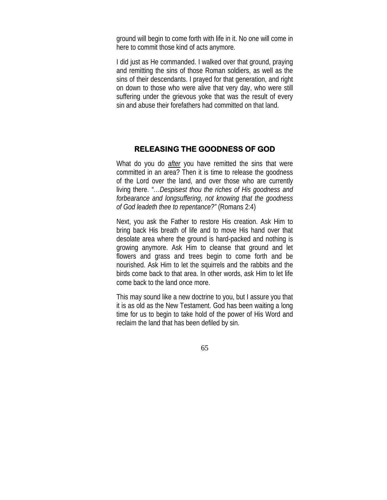ground will begin to come forth with life in it. No one will come in here to commit those kind of acts anymore.

I did just as He commanded. I walked over that ground, praying and remitting the sins of those Roman soldiers, as well as the sins of their descendants. I prayed for that generation, and right on down to those who were alive that very day, who were still suffering under the grievous yoke that was the result of every sin and abuse their forefathers had committed on that land.

#### **RELEASING THE GOODNESS OF GOD**

What do you do *after* you have remitted the sins that were committed in an area? Then it is time to release the goodness of the Lord over the land, and over those who are currently living there. *"…Despisest thou the riches of His goodness and forbearance and longsuffering, not knowing that the goodness of God leadeth thee to repentance?"* (Romans 2:4)

Next, you ask the Father to restore His creation. Ask Him to bring back His breath of life and to move His hand over that desolate area where the ground is hard-packed and nothing is growing anymore. Ask Him to cleanse that ground and let flowers and grass and trees begin to come forth and be nourished. Ask Him to let the squirrels and the rabbits and the birds come back to that area. In other words, ask Him to let life come back to the land once more.

This may sound like a new doctrine to you, but I assure you that it is as old as the New Testament. God has been waiting a long time for us to begin to take hold of the power of His Word and reclaim the land that has been defiled by sin.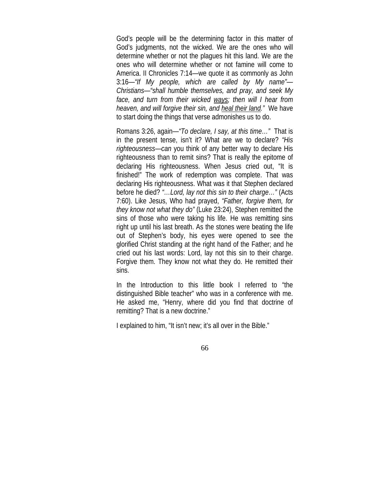God's people will be the determining factor in this matter of God's judgments, not the wicked. We are the ones who will determine whether or not the plagues hit this land. We are the ones who will determine whether or not famine will come to America. II Chronicles 7:14—we quote it as commonly as John 3:16—*"If My people, which are called by My name"— Christians—"shall humble themselves, and pray, and seek My face, and turn from their wicked ways; then will I hear from heaven, and will forgive their sin, and heal their land."* We have to start doing the things that verse admonishes us to do.

Romans 3:26, again—*"To declare, I say, at this time…"* That is in the present tense, isn't it? What are we to declare? *"His righteousness—can* you think of any better way to declare His righteousness than to remit sins? That is really the epitome of declaring His righteousness. When Jesus cried out, "It is finished!" The work of redemption was complete. That was declaring His righteousness. What was it that Stephen declared before he died? *"…Lord, lay not this sin to their charge…"* (Acts 7:60). Like Jesus, Who had prayed, *"Father, forgive them, for they know not what they do"* (Luke 23:24), Stephen remitted the sins of those who were taking his life. He was remitting sins right up until his last breath. As the stones were beating the life out of Stephen's body, his eyes were opened to see the glorified Christ standing at the right hand of the Father; and he cried out his last words: Lord, lay not this sin to their charge. Forgive them. They know not what they do. He remitted their sins.

In the Introduction to this little book I referred to "the distinguished Bible teacher" who was in a conference with me. He asked me, "Henry, where did you find that doctrine of remitting? That is a new doctrine."

I explained to him, "It isn't new; it's all over in the Bible."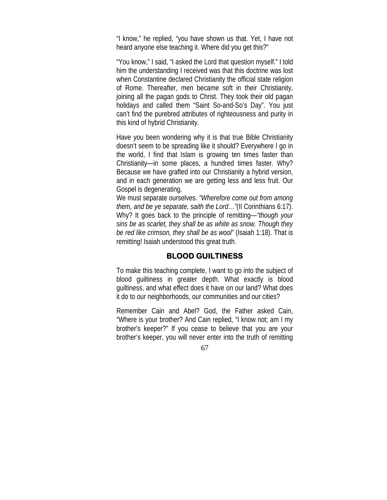"I know," he replied, "you have shown us that. Yet, I have not heard anyone else teaching it. Where did you get this?"

"You know," I said, "I asked the Lord that question myself." I told him the understanding I received was that this doctrine was lost when Constantine declared Christianity the official state religion of Rome. Thereafter, men became soft in their Christianity, joining all the pagan gods to Christ. They took their old pagan holidays and called them "Saint So-and-So's Day". You just can't find the purebred attributes of righteousness and purity in this kind of hybrid Christianity.

Have you been wondering why it is that true Bible Christianity doesn't seem to be spreading like it should? Everywhere I go in the world, I find that Islam is growing ten times faster than Christianity—in some places, a hundred times faster. Why? Because we have grafted into our Christianity a hybrid version, and in each generation we are getting less and less fruit. Our Gospel is degenerating.

We must separate ourselves. *"Wherefore come out from among them, and be ye separate, saith the Lord…"*(II Corinthians 6:17). Why? It goes back to the principle of remitting—*"though your sins be as scarlet, they shall be as white as snow. Though they be red like crimson, they shall be as wool"* (Isaiah 1:18). That is remitting! Isaiah understood this great truth.

#### **BLOOD GUILTINESS**

To make this teaching complete, I want to go into the subject of blood guiltiness in greater depth. What exactly is blood guiltiness, and what effect does it have on our land? What does it do to our neighborhoods, our communities and our cities?

Remember Cain and Abel? God, the Father asked Cain, "Where is your brother? And Cain replied, "I know not; am I my brother's keeper?" If you cease to believe that you are your brother's keeper, you will never enter into the truth of remitting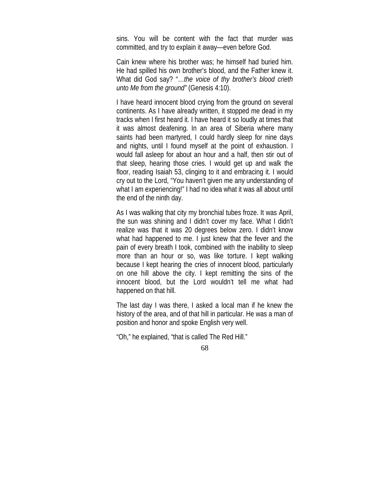sins. You will be content with the fact that murder was committed, and try to explain it away—even before God.

Cain knew where his brother was; he himself had buried him. He had spilled his own brother's blood, and the Father knew it. What did God say? "…*the voice of thy brother's blood crieth unto Me from the ground"* (Genesis 4:10).

I have heard innocent blood crying from the ground on several continents. As I have already written, it stopped me dead in my tracks when I first heard it. I have heard it so loudly at times that it was almost deafening. In an area of Siberia where many saints had been martyred, I could hardly sleep for nine days and nights, until I found myself at the point of exhaustion. I would fall asleep for about an hour and a half, then stir out of that sleep, hearing those cries. I would get up and walk the floor, reading Isaiah 53, clinging to it and embracing it. I would cry out to the Lord, "You haven't given me any understanding of what I am experiencing!" I had no idea what it was all about until the end of the ninth day.

As I was walking that city my bronchial tubes froze. It was April, the sun was shining and I didn't cover my face. What I didn't realize was that it was 20 degrees below zero. I didn't know what had happened to me. I just knew that the fever and the pain of every breath I took, combined with the inability to sleep more than an hour or so, was like torture. I kept walking because I kept hearing the cries of innocent blood, particularly on one hill above the city. I kept remitting the sins of the innocent blood, but the Lord wouldn't tell me what had happened on that hill.

The last day I was there, I asked a local man if he knew the history of the area, and of that hill in particular. He was a man of position and honor and spoke English very well.

"Oh," he explained, "that is called The Red Hill."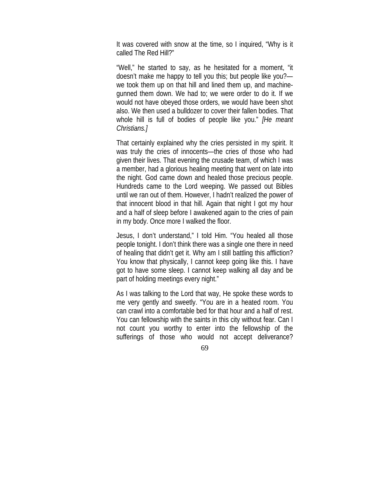It was covered with snow at the time, so I inquired, "Why is it called The Red Hill?"

"Well," he started to say, as he hesitated for a moment, "it doesn't make me happy to tell you this; but people like you? we took them up on that hill and lined them up, and machinegunned them down. We had to; we were order to do it. If we would not have obeyed those orders, we would have been shot also. We then used a bulldozer to cover their fallen bodies. That whole hill is full of bodies of people like you." *[He meant Christians.]*

That certainly explained why the cries persisted in my spirit. It was truly the cries of innocents—the cries of those who had given their lives. That evening the crusade team, of which I was a member, had a glorious healing meeting that went on late into the night. God came down and healed those precious people. Hundreds came to the Lord weeping. We passed out Bibles until we ran out of them. However, I hadn't realized the power of that innocent blood in that hill. Again that night I got my hour and a half of sleep before I awakened again to the cries of pain in my body. Once more I walked the floor.

Jesus, I don't understand," I told Him. "You healed all those people tonight. I don't think there was a single one there in need of healing that didn't get it. Why am I still battling this affliction? You know that physically, I cannot keep going like this. I have got to have some sleep. I cannot keep walking all day and be part of holding meetings every night."

As I was talking to the Lord that way, He spoke these words to me very gently and sweetly. "You are in a heated room. You can crawl into a comfortable bed for that hour and a half of rest. You can fellowship with the saints in this city without fear. Can I not count you worthy to enter into the fellowship of the sufferings of those who would not accept deliverance?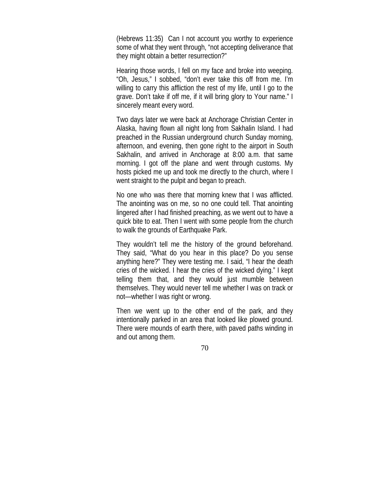(Hebrews 11:35) Can I not account you worthy to experience some of what they went through, "not accepting deliverance that they might obtain a better resurrection?"

Hearing those words, I fell on my face and broke into weeping. "Oh, Jesus," I sobbed, "don't ever take this off from me. I'm willing to carry this affliction the rest of my life, until I go to the grave. Don't take if off me, if it will bring glory to Your name." I sincerely meant every word.

Two days later we were back at Anchorage Christian Center in Alaska, having flown all night long from Sakhalin Island. I had preached in the Russian underground church Sunday morning, afternoon, and evening, then gone right to the airport in South Sakhalin, and arrived in Anchorage at 8:00 a.m. that same morning. I got off the plane and went through customs. My hosts picked me up and took me directly to the church, where I went straight to the pulpit and began to preach.

No one who was there that morning knew that I was afflicted. The anointing was on me, so no one could tell. That anointing lingered after I had finished preaching, as we went out to have a quick bite to eat. Then I went with some people from the church to walk the grounds of Earthquake Park.

They wouldn't tell me the history of the ground beforehand. They said, "What do you hear in this place? Do you sense anything here?" They were testing me. I said, "I hear the death cries of the wicked. I hear the cries of the wicked dying." I kept telling them that, and they would just mumble between themselves. They would never tell me whether I was on track or not—whether I was right or wrong.

Then we went up to the other end of the park, and they intentionally parked in an area that looked like plowed ground. There were mounds of earth there, with paved paths winding in and out among them.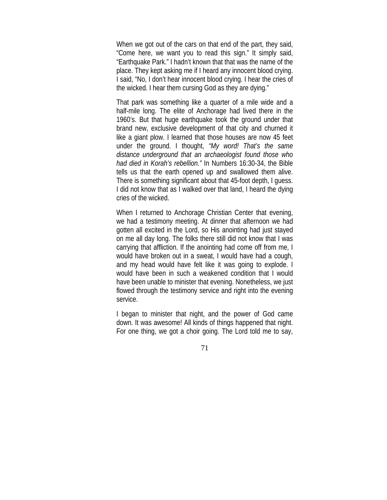When we got out of the cars on that end of the part, they said, "Come here, we want you to read this sign." It simply said, "Earthquake Park." I hadn't known that that was the name of the place. They kept asking me if I heard any innocent blood crying. I said, "No, I don't hear innocent blood crying. I hear the cries of the wicked. I hear them cursing God as they are dying."

That park was something like a quarter of a mile wide and a half-mile long. The elite of Anchorage had lived there in the 1960's. But that huge earthquake took the ground under that brand new, exclusive development of that city and churned it like a giant plow. I learned that those houses are now 45 feet under the ground. I thought, *"My word! That's the same distance underground that an archaeologist found those who had died in Korah's rebellion."* In Numbers 16:30-34, the Bible tells us that the earth opened up and swallowed them alive. There is something significant about that 45-foot depth, I guess. I did not know that as I walked over that land, I heard the dying cries of the wicked.

When I returned to Anchorage Christian Center that evening, we had a testimony meeting. At dinner that afternoon we had gotten all excited in the Lord, so His anointing had just stayed on me all day long. The folks there still did not know that I was carrying that affliction. If the anointing had come off from me, I would have broken out in a sweat, I would have had a cough, and my head would have felt like it was going to explode. I would have been in such a weakened condition that I would have been unable to minister that evening. Nonetheless, we just flowed through the testimony service and right into the evening service.

I began to minister that night, and the power of God came down. It was awesome! All kinds of things happened that night. For one thing, we got a choir going. The Lord told me to say,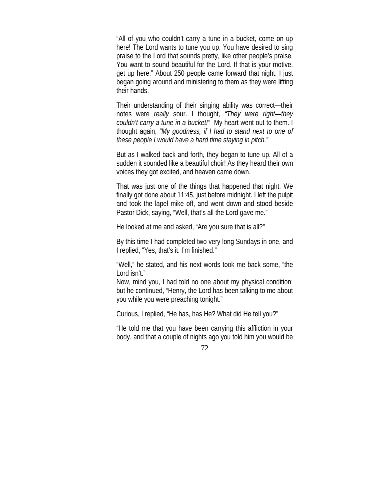"All of you who couldn't carry a tune in a bucket, come on up here! The Lord wants to tune you up. You have desired to sing praise to the Lord that sounds pretty, like other people's praise. You want to sound beautiful for the Lord. If that is your motive, get up here." About 250 people came forward that night. I just began going around and ministering to them as they were lifting their hands.

Their understanding of their singing ability was correct—their notes were *really* sour. I thought, *"They were right—they couldn't carry a tune in a bucket!"* My heart went out to them. I thought again, *"My goodness, if I had to stand next to one of these people I would have a hard time staying in pitch."*

But as I walked back and forth, they began to tune up. All of a sudden it sounded like a beautiful choir! As they heard their own voices they got excited, and heaven came down.

That was just one of the things that happened that night. We finally got done about 11:45, just before midnight. I left the pulpit and took the lapel mike off, and went down and stood beside Pastor Dick, saying, "Well, that's all the Lord gave me."

He looked at me and asked, "Are you sure that is all?"

By this time I had completed two very long Sundays in one, and I replied, "Yes, that's it. I'm finished."

"Well," he stated, and his next words took me back some, "the Lord isn't."

Now, mind you, I had told no one about my physical condition; but he continued, "Henry, the Lord has been talking to me about you while you were preaching tonight."

Curious, I replied, "He has, has He? What did He tell you?"

"He told me that you have been carrying this affliction in your body, and that a couple of nights ago you told him you would be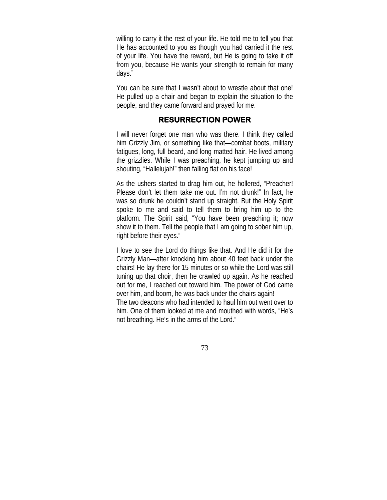willing to carry it the rest of your life. He told me to tell you that He has accounted to you as though you had carried it the rest of your life. You have the reward, but He is going to take it off from you, because He wants your strength to remain for many days."

You can be sure that I wasn't about to wrestle about that one! He pulled up a chair and began to explain the situation to the people, and they came forward and prayed for me.

### **RESURRECTION POWER**

I will never forget one man who was there. I think they called him Grizzly Jim, or something like that—combat boots, military fatigues, long, full beard, and long matted hair. He lived among the grizzlies. While I was preaching, he kept jumping up and shouting, "Hallelujah!" then falling flat on his face!

As the ushers started to drag him out, he hollered, "Preacher! Please don't let them take me out. I'm not drunk!" In fact, he was so drunk he couldn't stand up straight. But the Holy Spirit spoke to me and said to tell them to bring him up to the platform. The Spirit said, "You have been preaching it; now show it to them. Tell the people that I am going to sober him up, right before their eyes."

I love to see the Lord do things like that. And He did it for the Grizzly Man—after knocking him about 40 feet back under the chairs! He lay there for 15 minutes or so while the Lord was still tuning up that choir, then he crawled up again. As he reached out for me, I reached out toward him. The power of God came over him, and boom, he was back under the chairs again! The two deacons who had intended to haul him out went over to him. One of them looked at me and mouthed with words, "He's not breathing. He's in the arms of the Lord."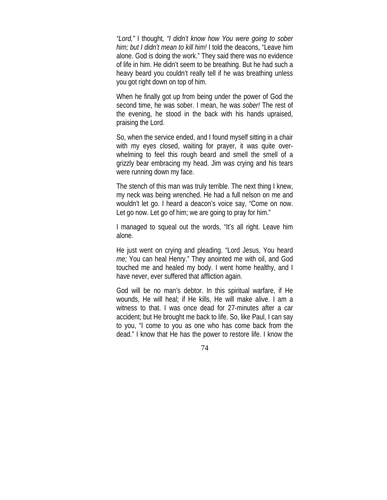*"Lord,"* I thought*, "I didn't know how You were going to sober him; but I didn't mean to kill him!* I told the deacons, "Leave him alone. God is doing the work." They said there was no evidence of life in him. He didn't seem to be breathing. But he had such a heavy beard you couldn't really tell if he was breathing unless you got right down on top of him.

When he finally got up from being under the power of God the second time, he was sober. I mean, he was *sober!* The rest of the evening, he stood in the back with his hands upraised, praising the Lord.

So, when the service ended, and I found myself sitting in a chair with my eyes closed, waiting for prayer, it was quite overwhelming to feel this rough beard and smell the smell of a grizzly bear embracing my head. Jim was crying and his tears were running down my face.

The stench of this man was truly terrible. The next thing I knew, my neck was being wrenched. He had a full nelson on me and wouldn't let go. I heard a deacon's voice say, "Come on now. Let go now. Let go of him; we are going to pray for him."

I managed to squeal out the words, "It's all right. Leave him alone.

He just went on crying and pleading. "Lord Jesus, You heard *me;* You can heal Henry." They anointed me with oil, and God touched me and healed my body. I went home healthy, and I have never, ever suffered that affliction again.

God will be no man's debtor. In this spiritual warfare, if He wounds, He will heal; if He kills, He will make alive. I am a witness to that. I was once dead for 27-minutes after a car accident; but He brought me back to life. So, like Paul, I can say to you, "I come to you as one who has come back from the dead." I know that He has the power to restore life. I know the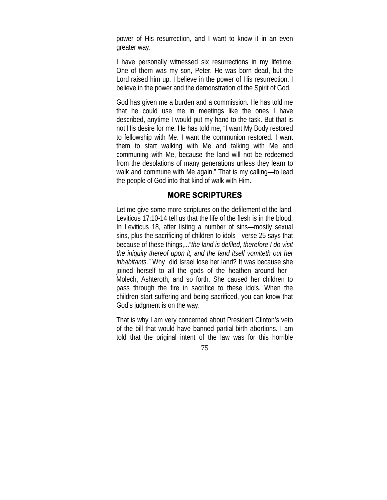power of His resurrection, and I want to know it in an even greater way.

I have personally witnessed six resurrections in my lifetime. One of them was my son, Peter. He was born dead, but the Lord raised him up. I believe in the power of His resurrection. I believe in the power and the demonstration of the Spirit of God.

God has given me a burden and a commission. He has told me that he could use me in meetings like the ones I have described, anytime I would put my hand to the task. But that is not His desire for me. He has told me, "I want My Body restored to fellowship with Me. I want the communion restored. I want them to start walking with Me and talking with Me and communing with Me, because the land will not be redeemed from the desolations of many generations unless they learn to walk and commune with Me again." That is my calling—to lead the people of God into that kind of walk with Him.

#### **MORE SCRIPTURES**

Let me give some more scriptures on the defilement of the land. Leviticus 17:10-14 tell us that the life of the flesh is in the blood. In Leviticus 18, after listing a number of sins—mostly sexual sins, plus the sacrificing of children to idols—verse 25 says that because of these things,..."*the land is defiled, therefore I do visit the iniquity thereof upon it, and the land itself vomiteth out her inhabitants."* Why did Israel lose her land? It was because she joined herself to all the gods of the heathen around her— Molech, Ashteroth, and so forth. She caused her children to pass through the fire in sacrifice to these idols. When the children start suffering and being sacrificed, you can know that God's judgment is on the way.

That is why I am very concerned about President Clinton's veto of the bill that would have banned partial-birth abortions. I am told that the original intent of the law was for this horrible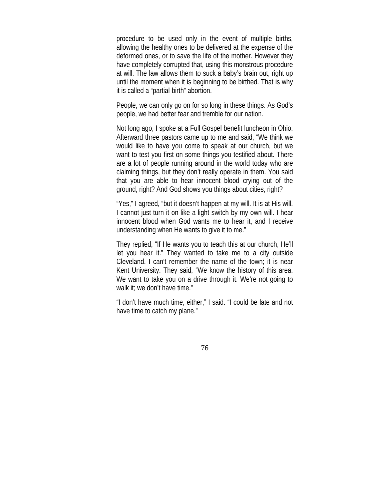procedure to be used only in the event of multiple births, allowing the healthy ones to be delivered at the expense of the deformed ones, or to save the life of the mother. However they have completely corrupted that, using this monstrous procedure at will. The law allows them to suck a baby's brain out, right up until the moment when it is beginning to be birthed. That is why it is called a "partial-birth" abortion.

People, we can only go on for so long in these things. As God's people, we had better fear and tremble for our nation.

Not long ago, I spoke at a Full Gospel benefit luncheon in Ohio. Afterward three pastors came up to me and said, "We think we would like to have you come to speak at our church, but we want to test you first on some things you testified about. There are a lot of people running around in the world today who are claiming things, but they don't really operate in them. You said that you are able to hear innocent blood crying out of the ground, right? And God shows you things about cities, right?

"Yes," I agreed, "but it doesn't happen at my will. It is at His will. I cannot just turn it on like a light switch by my own will. I hear innocent blood when God wants me to hear it, and I receive understanding when He wants to give it to me."

They replied, "If He wants you to teach this at our church, He'll let you hear it." They wanted to take me to a city outside Cleveland. I can't remember the name of the town; it is near Kent University. They said, "We know the history of this area. We want to take you on a drive through it. We're not going to walk it; we don't have time."

"I don't have much time, either," I said. "I could be late and not have time to catch my plane."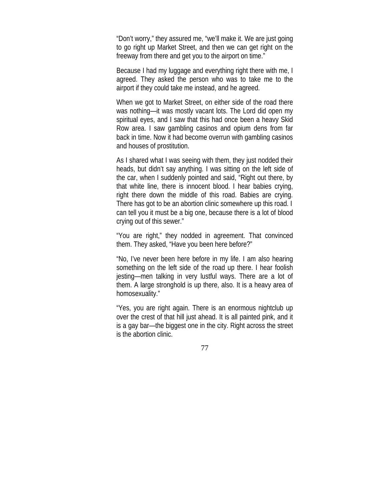"Don't worry," they assured me, "we'll make it. We are just going to go right up Market Street, and then we can get right on the freeway from there and get you to the airport on time."

Because I had my luggage and everything right there with me, I agreed. They asked the person who was to take me to the airport if they could take me instead, and he agreed.

When we got to Market Street, on either side of the road there was nothing—it was mostly vacant lots. The Lord did open my spiritual eyes, and I saw that this had once been a heavy Skid Row area. I saw gambling casinos and opium dens from far back in time. Now it had become overrun with gambling casinos and houses of prostitution.

As I shared what I was seeing with them, they just nodded their heads, but didn't say anything. I was sitting on the left side of the car, when I suddenly pointed and said, "Right out there, by that white line, there is innocent blood. I hear babies crying, right there down the middle of this road. Babies are crying. There has got to be an abortion clinic somewhere up this road. I can tell you it must be a big one, because there is a lot of blood crying out of this sewer."

"You are right," they nodded in agreement. That convinced them. They asked, "Have you been here before?"

"No, I've never been here before in my life. I am also hearing something on the left side of the road up there. I hear foolish jesting—men talking in very lustful ways. There are a lot of them. A large stronghold is up there, also. It is a heavy area of homosexuality."

"Yes, you are right again. There is an enormous nightclub up over the crest of that hill just ahead. It is all painted pink, and it is a gay bar—the biggest one in the city. Right across the street is the abortion clinic.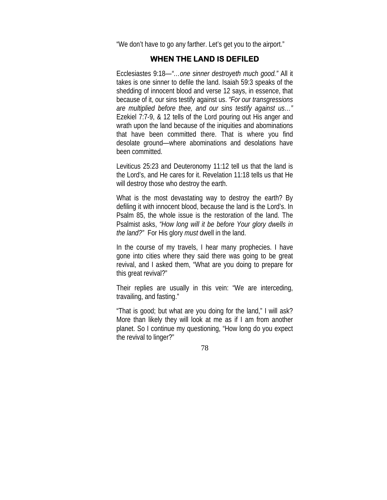"We don't have to go any farther. Let's get you to the airport."

## **WHEN THE LAND IS DEFILED**

Ecclesiastes 9:18—*"…one sinner destroyeth much good."* All it takes is one sinner to defile the land. Isaiah 59:3 speaks of the shedding of innocent blood and verse 12 says, in essence, that because of it, our sins testify against us. *"For our transgressions are multiplied before thee, and our sins testify against us…"*  Ezekiel 7:7-9, & 12 tells of the Lord pouring out His anger and wrath upon the land because of the iniquities and abominations that have been committed there. That is where you find desolate ground—where abominations and desolations have been committed.

Leviticus 25:23 and Deuteronomy 11:12 tell us that the land is the Lord's, and He cares for it. Revelation 11:18 tells us that He will destroy those who destroy the earth.

What is the most devastating way to destroy the earth? By defiling it with innocent blood, because the land is the Lord's. In Psalm 85, the whole issue is the restoration of the land. The Psalmist asks, *"How long will it be before Your glory dwells in the land?"* For His glory *must* dwell in the land.

In the course of my travels, I hear many prophecies. I have gone into cities where they said there was going to be great revival, and I asked them, "What are you doing to prepare for this great revival?"

Their replies are usually in this vein: "We are interceding, travailing, and fasting."

"That is good; but what are you doing for the land," I will ask? More than likely they will look at me as if I am from another planet. So I continue my questioning, "How long do you expect the revival to linger?"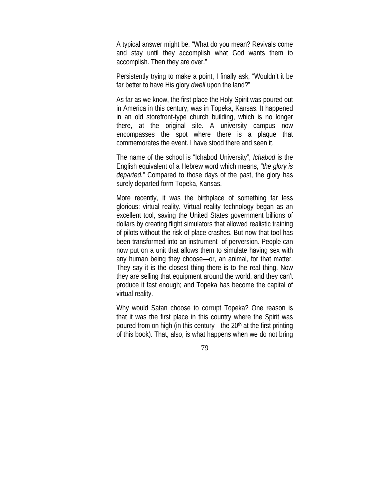A typical answer might be, "What do you mean? Revivals come and stay until they accomplish what God wants them to accomplish. Then they are over."

Persistently trying to make a point, I finally ask, "Wouldn't it be far better to have His glory *dwell* upon the land?"

As far as we know, the first place the Holy Spirit was poured out in America in this century, was in Topeka, Kansas. It happened in an old storefront-type church building, which is no longer there, at the original site. A university campus now encompasses the spot where there is a plaque that commemorates the event. I have stood there and seen it.

The name of the school is "Ichabod University", *Ichabod* is the English equivalent of a Hebrew word which means, *"the glory is departed."* Compared to those days of the past, the glory has surely departed form Topeka, Kansas.

More recently, it was the birthplace of something far less glorious: virtual reality. Virtual reality technology began as an excellent tool, saving the United States government billions of dollars by creating flight simulators that allowed realistic training of pilots without the risk of place crashes. But now that tool has been transformed into an instrument of perversion. People can now put on a unit that allows them to simulate having sex with any human being they choose—or, an animal, for that matter. They say it is the closest thing there is to the real thing. Now they are selling that equipment around the world, and they can't produce it fast enough; and Topeka has become the capital of virtual reality.

Why would Satan choose to corrupt Topeka? One reason is that it was the first place in this country where the Spirit was poured from on high (in this century—the  $20<sup>th</sup>$  at the first printing of this book). That, also, is what happens when we do not bring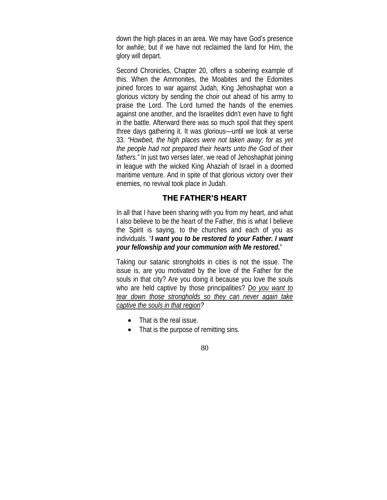down the high places in an area. We may have God's presence for awhile; but if we have not reclaimed the land for Him, the glory will depart.

Second Chronicles, Chapter 20, offers a sobering example of this. When the Ammonites, the Moabites and the Edomites joined forces to war against Judah, King Jehoshaphat won a glorious victory by sending the choir out ahead of his army to praise the Lord. The Lord turned the hands of the enemies against one another, and the Israelites didn't even have to fight in the battle. Afterward there was so much spoil that they spent three days gathering it. It was glorious—until we look at verse 33. *"Howbeit, the high places were not taken away; for as yet the people had not prepared their hearts unto the God of their fathers."* In just two verses later, we read of Jehoshaphat joining in league with the wicked King Ahaziah of Israel in a doomed maritime venture. And in spite of that glorious victory over their enemies, no revival took place in Judah.

# **THE FATHER'S HEART**

In all that I have been sharing with you from my heart, and what I also believe to be the heart of the Father, this is what I believe the Spirit is saying, to the churches and each of you as individuals. "*I want you to be restored to your Father. I want your fellowship and your communion with Me restored.*"

Taking our satanic strongholds in cities is not the issue. The issue is, are you motivated by the love of the Father for the souls in that city? Are you doing it because you love the souls who are held captive by those principalities? *Do you want to tear down those strongholds so they can never again take captive the souls in that region?*

- That is the real issue.
- That is the purpose of remitting sins.

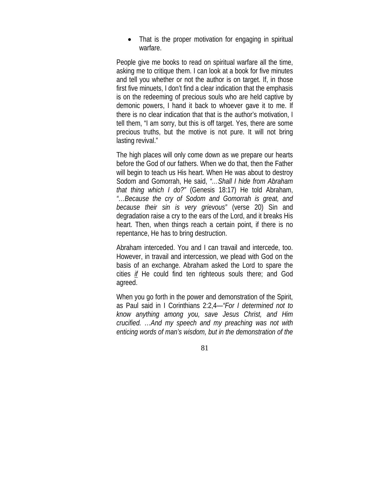• That is the proper motivation for engaging in spiritual warfare.

People give me books to read on spiritual warfare all the time, asking me to critique them. I can look at a book for five minutes and tell you whether or not the author is on target. If, in those first five minuets, I don't find a clear indication that the emphasis is on the redeeming of precious souls who are held captive by demonic powers, I hand it back to whoever gave it to me. If there is no clear indication that that is the author's motivation, I tell them, "I am sorry, but this is off target. Yes, there are some precious truths, but the motive is not pure. It will not bring lasting revival."

The high places will only come down as we prepare our hearts before the God of our fathers. When we do that, then the Father will begin to teach us His heart. When He was about to destroy Sodom and Gomorrah, He said, *"…Shall I hide from Abraham that thing which I do?"* (Genesis 18:17) He told Abraham, *"…Because the cry of Sodom and Gomorrah is great, and because their sin is very grievous"* (verse 20) Sin and degradation raise a cry to the ears of the Lord, and it breaks His heart. Then, when things reach a certain point, if there is no repentance, He has to bring destruction.

Abraham interceded. You and I can travail and intercede, too. However, in travail and intercession, we plead with God on the basis of an exchange. Abraham asked the Lord to spare the cities *if* He could find ten righteous souls there; and God agreed.

When you go forth in the power and demonstration of the Spirit, as Paul said in I Corinthians 2:2,4—*"For I determined not to know anything among you, save Jesus Christ, and Him crucified. …And my speech and my preaching was not with enticing words of man's wisdom, but in the demonstration of the*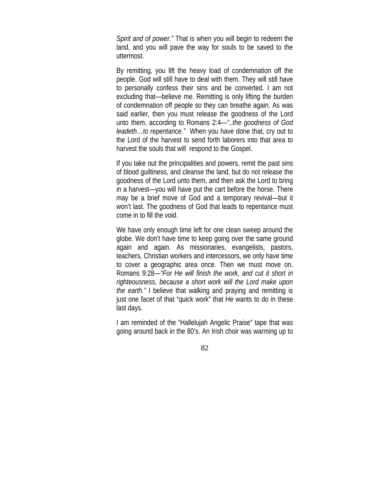*Spirit and of power."* That is when you will begin to redeem the land, and you will pave the way for souls to be saved to the uttermost.

By remitting, you lift the heavy load of condemnation off the people. God will still have to deal with them. They will still have to personally confess their sins and be converted. I am not excluding that—believe me. Remitting is only lifting the burden of condemnation off people so they can breathe again. As was said earlier, then you must release the goodness of the Lord unto them, according to Romans 2:4—*"..the goodness of God leadeth…to repentance."* When you have done that, cry out to the Lord of the harvest to send forth laborers into that area to harvest the souls that will respond to the Gospel.

If you take out the principalities and powers, remit the past sins of blood guiltiness, and cleanse the land, but do not release the goodness of the Lord unto them, and then ask the Lord to bring in a harvest—you will have put the cart before the horse. There may be a brief move of God and a temporary revival—but it won't last. The goodness of God that leads to repentance must come in to fill the void.

We have only enough time left for one clean sweep around the globe. We don't have time to keep going over the same ground again and again. As missionaries, evangelists, pastors, teachers, Christian workers and intercessors, we only have time to cover a geographic area once. Then we must move on. Romans 9:28—*"For He will finish the work, and cut it short in righteousness, because a short work will the Lord make upon the earth."* I believe that walking and praying and remitting is just one facet of that "quick work" that He wants to do in these last days.

I am reminded of the "Hallelujah Angelic Praise" tape that was going around back in the 80's. An Irish choir was warming up to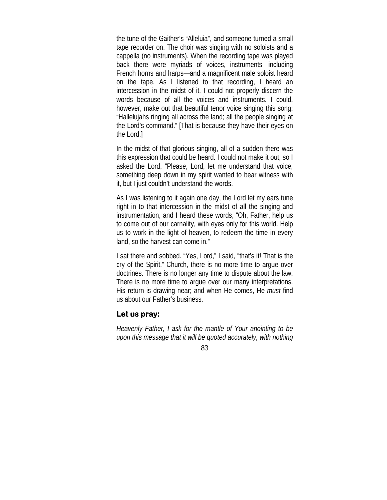the tune of the Gaither's "Alleluia", and someone turned a small tape recorder on. The choir was singing with no soloists and a cappella (no instruments). When the recording tape was played back there were myriads of voices, instruments—including French horns and harps—and a magnificent male soloist heard on the tape. As I listened to that recording, I heard an intercession in the midst of it. I could not properly discern the words because of all the voices and instruments. I could, however, make out that beautiful tenor voice singing this song: "Hallelujahs ringing all across the land; all the people singing at the Lord's command." [That is because they have their eyes on the Lord.]

In the midst of that glorious singing, all of a sudden there was this expression that could be heard. I could not make it out, so I asked the Lord, "Please, Lord, let me understand that voice, something deep down in my spirit wanted to bear witness with it, but I just couldn't understand the words.

As I was listening to it again one day, the Lord let my ears tune right in to that intercession in the midst of all the singing and instrumentation, and I heard these words, "Oh, Father, help us to come out of our carnality, with eyes only for this world. Help us to work in the light of heaven, to redeem the time in every land, so the harvest can come in."

I sat there and sobbed. "Yes, Lord," I said, "that's it! That is the cry of the Spirit." Church, there is no more time to argue over doctrines. There is no longer any time to dispute about the law. There is no more time to argue over our many interpretations. His return is drawing near; and when He comes, He *must* find us about our Father's business.

#### **Let us pray:**

*Heavenly Father, I ask for the mantle of Your anointing to be upon this message that it will be quoted accurately, with nothing*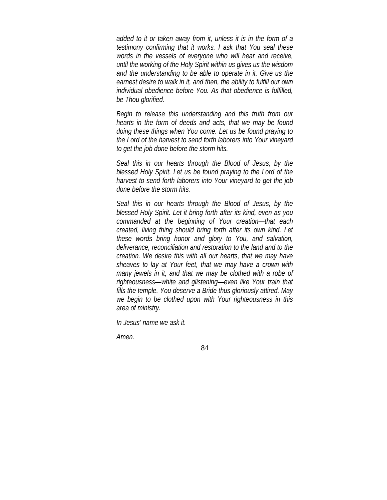*added to it or taken away from it, unless it is in the form of a testimony confirming that it works. I ask that You seal these words in the vessels of everyone who will hear and receive, until the working of the Holy Spirit within us gives us the wisdom and the understanding to be able to operate in it. Give us the earnest desire to walk in it, and then, the ability to fulfill our own individual obedience before You. As that obedience is fulfilled, be Thou glorified.*

*Begin to release this understanding and this truth from our hearts in the form of deeds and acts, that we may be found doing these things when You come. Let us be found praying to the Lord of the harvest to send forth laborers into Your vineyard to get the job done before the storm hits.*

*Seal this in our hearts through the Blood of Jesus, by the blessed Holy Spirit. Let us be found praying to the Lord of the harvest to send forth laborers into Your vineyard to get the job done before the storm hits.*

*Seal this in our hearts through the Blood of Jesus, by the blessed Holy Spirit. Let it bring forth after its kind, even as you commanded at the beginning of Your creation—that each created, living thing should bring forth after its own kind. Let these words bring honor and glory to You, and salvation, deliverance, reconciliation and restoration to the land and to the creation. We desire this with all our hearts, that we may have sheaves to lay at Your feet, that we may have a crown with many jewels in it, and that we may be clothed with a robe of righteousness—white and glistening—even like Your train that fills the temple. You deserve a Bride thus gloriously attired. May we begin to be clothed upon with Your righteousness in this area of ministry.* 

*In Jesus' name we ask it.* 

*Amen.*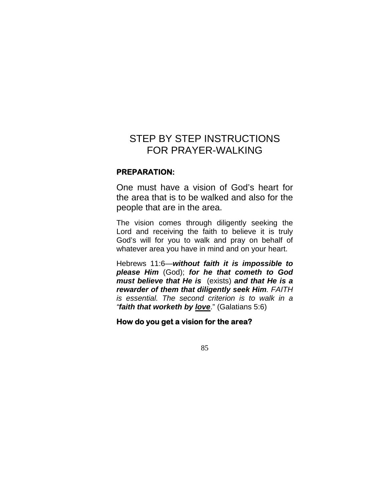# STEP BY STEP INSTRUCTIONS FOR PRAYER-WALKING

## **PREPARATION:**

One must have a vision of God's heart for the area that is to be walked and also for the people that are in the area.

The vision comes through diligently seeking the Lord and receiving the faith to believe it is truly God's will for you to walk and pray on behalf of whatever area you have in mind and on your heart.

Hebrews 11:6—*without faith it is impossible to please Him* (God); *for he that cometh to God must believe that He is* (exists) *and that He is a rewarder of them that diligently seek Him. FAITH is essential. The second criterion is to walk in a "faith that worketh by love*." (Galatians 5:6)

## **How do you get a vision for the area?**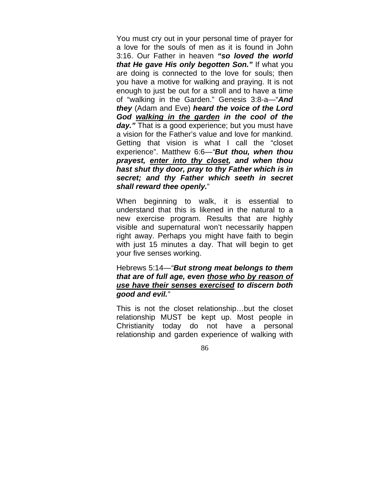You must cry out in your personal time of prayer for a love for the souls of men as it is found in John 3:16. Our Father in heaven *"so loved the world that He gave His only begotten Son."* If what you are doing is connected to the love for souls; then you have a motive for walking and praying. It is not enough to just be out for a stroll and to have a time of "walking in the Garden." Genesis 3:8-a—"*And they* (Adam and Eve) *heard the voice of the Lord God walking in the garden in the cool of the*  day." That is a good experience; but you must have a vision for the Father's value and love for mankind. Getting that vision is what I call the "closet experience". Matthew 6:6—*"But thou, when thou prayest, enter into thy closet, and when thou hast shut thy door, pray to thy Father which is in secret; and thy Father which seeth in secret shall reward thee openly.*"

When beginning to walk, it is essential to understand that this is likened in the natural to a new exercise program. Results that are highly visible and supernatural won't necessarily happen right away. Perhaps you might have faith to begin with just 15 minutes a day. That will begin to get your five senses working.

# Hebrews 5:14—*"But strong meat belongs to them that are of full age, even those who by reason of use have their senses exercised to discern both good and evil."*

This is not the closet relationship…but the closet relationship MUST be kept up. Most people in Christianity today do not have a personal relationship and garden experience of walking with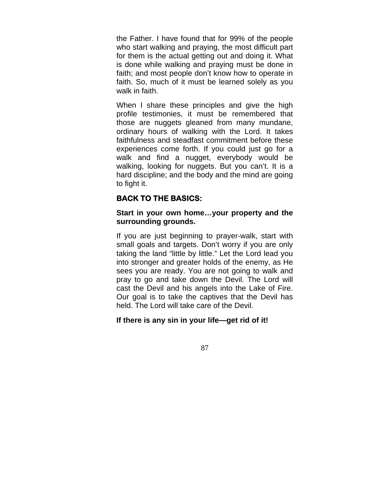the Father. I have found that for 99% of the people who start walking and praying, the most difficult part for them is the actual getting out and doing it. What is done while walking and praying must be done in faith; and most people don't know how to operate in faith. So, much of it must be learned solely as you walk in faith.

When I share these principles and give the high profile testimonies, it must be remembered that those are nuggets gleaned from many mundane, ordinary hours of walking with the Lord. It takes faithfulness and steadfast commitment before these experiences come forth. If you could just go for a walk and find a nugget, everybody would be walking, looking for nuggets. But you can't. It is a hard discipline; and the body and the mind are going to fight it.

# **BACK TO THE BASICS:**

#### **Start in your own home…your property and the surrounding grounds.**

If you are just beginning to prayer-walk, start with small goals and targets. Don't worry if you are only taking the land "little by little." Let the Lord lead you into stronger and greater holds of the enemy, as He sees you are ready. You are not going to walk and pray to go and take down the Devil. The Lord will cast the Devil and his angels into the Lake of Fire. Our goal is to take the captives that the Devil has held. The Lord will take care of the Devil.

### **If there is any sin in your life—get rid of it!**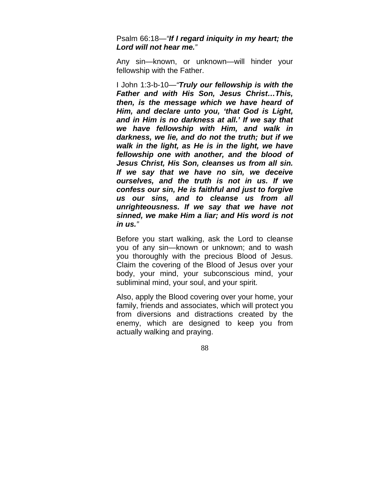Psalm 66:18—*"If I regard iniquity in my heart; the Lord will not hear me."*

Any sin—known, or unknown—will hinder your fellowship with the Father.

I John 1:3-b-10—*"Truly our fellowship is with the Father and with His Son, Jesus Christ…This, then, is the message which we have heard of Him, and declare unto you, 'that God is Light, and in Him is no darkness at all.' If we say that we have fellowship with Him, and walk in darkness, we lie, and do not the truth; but if we walk in the light, as He is in the light, we have fellowship one with another, and the blood of Jesus Christ, His Son, cleanses us from all sin. If we say that we have no sin, we deceive ourselves, and the truth is not in us. If we confess our sin, He is faithful and just to forgive us our sins, and to cleanse us from all unrighteousness. If we say that we have not sinned, we make Him a liar; and His word is not in us."*

Before you start walking, ask the Lord to cleanse you of any sin—known or unknown; and to wash you thoroughly with the precious Blood of Jesus. Claim the covering of the Blood of Jesus over your body, your mind, your subconscious mind, your subliminal mind, your soul, and your spirit.

Also, apply the Blood covering over your home, your family, friends and associates, which will protect you from diversions and distractions created by the enemy, which are designed to keep you from actually walking and praying.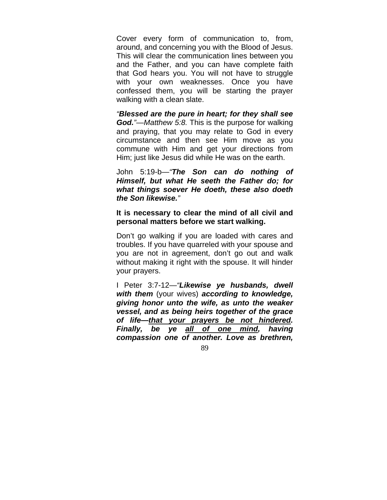Cover every form of communication to, from, around, and concerning you with the Blood of Jesus. This will clear the communication lines between you and the Father, and you can have complete faith that God hears you. You will not have to struggle with your own weaknesses. Once you have confessed them, you will be starting the prayer walking with a clean slate.

*"Blessed are the pure in heart; for they shall see God."—Matthew 5:8.* This is the purpose for walking and praying, that you may relate to God in every circumstance and then see Him move as you commune with Him and get your directions from Him; just like Jesus did while He was on the earth.

John 5:19-b—*"The Son can do nothing of Himself, but what He seeth the Father do; for what things soever He doeth, these also doeth the Son likewise."*

#### **It is necessary to clear the mind of all civil and personal matters before we start walking.**

Don't go walking if you are loaded with cares and troubles. If you have quarreled with your spouse and you are not in agreement, don't go out and walk without making it right with the spouse. It will hinder your prayers.

I Peter 3:7-12—*"Likewise ye husbands, dwell with them* (your wives) *according to knowledge, giving honor unto the wife, as unto the weaker vessel, and as being heirs together of the grace of life—that your prayers be not hindered. Finally, be ye all of one mind, having compassion one of another. Love as brethren,*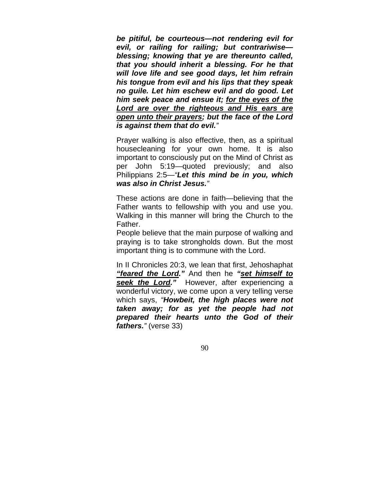*be pitiful, be courteous—not rendering evil for evil, or railing for railing; but contrariwise blessing; knowing that ye are thereunto called, that you should inherit a blessing. For he that will love life and see good days, let him refrain his tongue from evil and his lips that they speak no guile. Let him eschew evil and do good. Let him seek peace and ensue it; for the eyes of the Lord are over the righteous and His ears are open unto their prayers; but the face of the Lord is against them that do evil."*

Prayer walking is also effective, then, as a spiritual housecleaning for your own home. It is also important to consciously put on the Mind of Christ as per John 5:19—quoted previously; and also Philippians 2:5—*"Let this mind be in you, which was also in Christ Jesus."*

These actions are done in faith—believing that the Father wants to fellowship with you and use you. Walking in this manner will bring the Church to the Father.

People believe that the main purpose of walking and praying is to take strongholds down. But the most important thing is to commune with the Lord.

In II Chronicles 20:3, we lean that first, Jehoshaphat *"feared the Lord."* And then he *"set himself to*  **seek the Lord."** However, after experiencing a wonderful victory, we come upon a very telling verse which says, *"Howbeit, the high places were not taken away; for as yet the people had not prepared their hearts unto the God of their fathers."* (verse 33)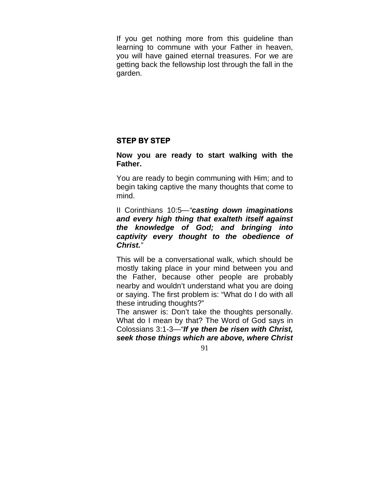If you get nothing more from this guideline than learning to commune with your Father in heaven, you will have gained eternal treasures. For we are getting back the fellowship lost through the fall in the garden.

# **STEP BY STEP**

## **Now you are ready to start walking with the Father.**

You are ready to begin communing with Him; and to begin taking captive the many thoughts that come to mind.

II Corinthians 10:5—*"casting down imaginations and every high thing that exalteth itself against the knowledge of God; and bringing into captivity every thought to the obedience of Christ."*

This will be a conversational walk, which should be mostly taking place in your mind between you and the Father, because other people are probably nearby and wouldn't understand what you are doing or saying. The first problem is: "What do I do with all these intruding thoughts?"

The answer is: Don't take the thoughts personally. What do I mean by that? The Word of God says in Colossians 3:1-3—*"If ye then be risen with Christ, seek those things which are above, where Christ*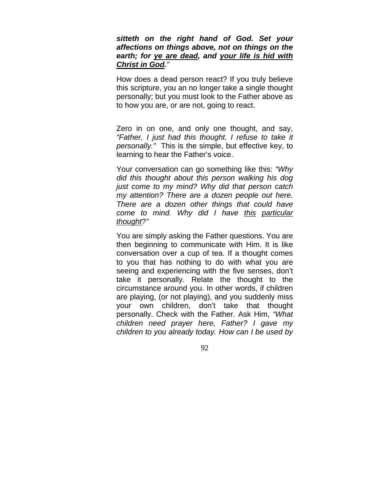## *sitteth on the right hand of God. Set your affections on things above, not on things on the earth; for ye are dead, and your life is hid with Christ in God."*

How does a dead person react? If you truly believe this scripture, you an no longer take a single thought personally; but you must look to the Father above as to how you are, or are not, going to react.

Zero in on one, and only one thought, and say, *"Father, I just had this thought. I refuse to take it personally."* This is the simple, but effective key, to learning to hear the Father's voice.

Your conversation can go something like this: *"Why did this thought about this person walking his dog just come to my mind? Why did that person catch my attention? There are a dozen people out here. There are a dozen other things that could have come to mind. Why did I have this particular thought*?*"*

You are simply asking the Father questions. You are then beginning to communicate with Him. It is like conversation over a cup of tea. If a thought comes to you that has nothing to do with what you are seeing and experiencing with the five senses, don't take it personally. Relate the thought to the circumstance around you. In other words, if children are playing, (or not playing), and you suddenly miss your own children, don't take that thought personally. Check with the Father. Ask Him, *"What children need prayer here, Father? I gave my children to you already today. How can I be used by*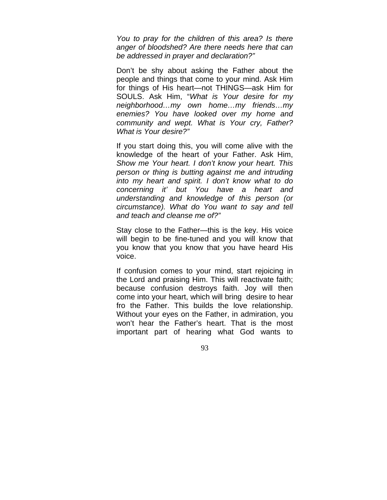*You to pray for the children of this area? Is there anger of bloodshed? Are there needs here that can be addressed in prayer and declaration?"*

Don't be shy about asking the Father about the people and things that come to your mind. Ask Him for things of His heart—not THINGS—ask Him for SOULS. Ask Him, "*What is Your desire for my neighborhood…my own home…my friends…my enemies? You have looked over my home and community and wept. What is Your cry, Father? What is Your desire?"*

If you start doing this, you will come alive with the knowledge of the heart of your Father. Ask Him, *Show me Your heart. I don't know your heart. This person or thing is butting against me and intruding into my heart and spirit. I don't know what to do concerning it' but You have a heart and understanding and knowledge of this person (or circumstance). What do You want to say and tell and teach and cleanse me of?"*

Stay close to the Father—this is the key. His voice will begin to be fine-tuned and you will know that you know that you know that you have heard His voice.

If confusion comes to your mind, start rejoicing in the Lord and praising Him. This will reactivate faith; because confusion destroys faith. Joy will then come into your heart, which will bring desire to hear fro the Father. This builds the love relationship. Without your eyes on the Father, in admiration, you won't hear the Father's heart. That is the most important part of hearing what God wants to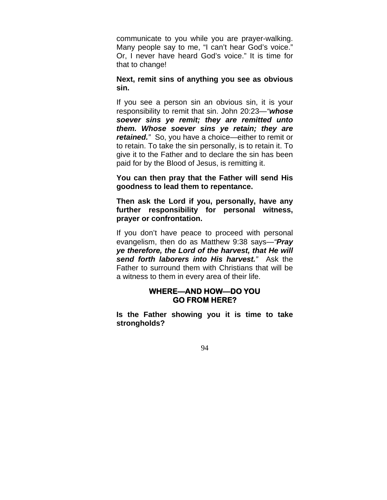communicate to you while you are prayer-walking. Many people say to me, "I can't hear God's voice." Or, I never have heard God's voice." It is time for that to change!

**Next, remit sins of anything you see as obvious sin.**

If you see a person sin an obvious sin, it is your responsibility to remit that sin. John 20:23—*"whose soever sins ye remit; they are remitted unto them. Whose soever sins ye retain; they are retained."* So, you have a choice—either to remit or to retain. To take the sin personally, is to retain it. To give it to the Father and to declare the sin has been paid for by the Blood of Jesus, is remitting it.

**You can then pray that the Father will send His goodness to lead them to repentance.**

**Then ask the Lord if you, personally, have any further responsibility for personal witness, prayer or confrontation.**

If you don't have peace to proceed with personal evangelism, then do as Matthew 9:38 says—*"Pray ye therefore, the Lord of the harvest, that He will send forth laborers into His harvest."* Ask the Father to surround them with Christians that will be a witness to them in every area of their life.

# **WHERE—AND HOW—DO YOU GO FROM HERE?**

**Is the Father showing you it is time to take strongholds?**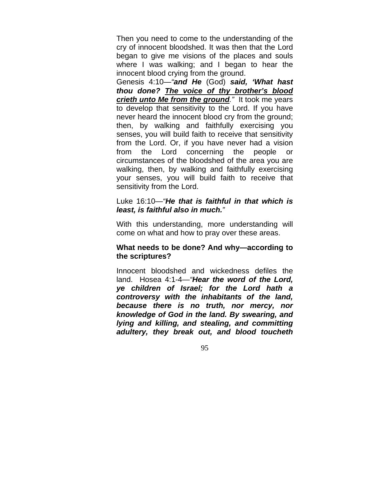Then you need to come to the understanding of the cry of innocent bloodshed. It was then that the Lord began to give me visions of the places and souls where I was walking; and I began to hear the innocent blood crying from the ground.

Genesis 4:10—*"and He* (God) *said, 'What hast thou done? The voice of thy brother's blood crieth unto Me from the ground."* It took me years to develop that sensitivity to the Lord. If you have never heard the innocent blood cry from the ground; then, by walking and faithfully exercising you senses, you will build faith to receive that sensitivity from the Lord. Or, if you have never had a vision from the Lord concerning the people or circumstances of the bloodshed of the area you are walking, then, by walking and faithfully exercising your senses, you will build faith to receive that sensitivity from the Lord.

#### Luke 16:10—*"He that is faithful in that which is least, is faithful also in much."*

With this understanding, more understanding will come on what and how to pray over these areas.

## **What needs to be done? And why—according to the scriptures?**

Innocent bloodshed and wickedness defiles the land. Hosea 4:1-4—*"Hear the word of the Lord, ye children of Israel; for the Lord hath a controversy with the inhabitants of the land, because there is no truth, nor mercy, nor knowledge of God in the land. By swearing, and lying and killing, and stealing, and committing adultery, they break out, and blood toucheth*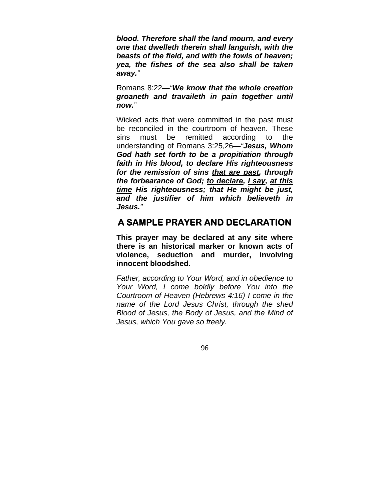*blood. Therefore shall the land mourn, and every one that dwelleth therein shall languish, with the beasts of the field, and with the fowls of heaven; yea, the fishes of the sea also shall be taken away."*

Romans 8:22—*"We know that the whole creation groaneth and travaileth in pain together until now."*

Wicked acts that were committed in the past must be reconciled in the courtroom of heaven. These sins must be remitted according to the understanding of Romans 3:25,26—*"Jesus, Whom God hath set forth to be a propitiation through faith in His blood, to declare His righteousness for the remission of sins that are past, through the forbearance of God; to declare, I say, at this time His righteousness; that He might be just, and the justifier of him which believeth in Jesus."* 

# **A SAMPLE PRAYER AND DECLARATION**

**This prayer may be declared at any site where there is an historical marker or known acts of violence, seduction and murder, involving innocent bloodshed.**

*Father, according to Your Word, and in obedience to Your Word, I come boldly before You into the Courtroom of Heaven (Hebrews 4:16) I come in the name of the Lord Jesus Christ, through the shed Blood of Jesus, the Body of Jesus, and the Mind of Jesus, which You gave so freely.*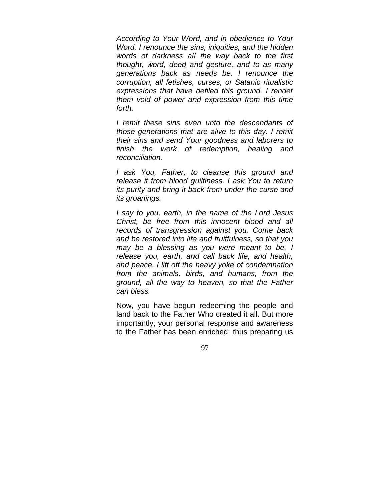*According to Your Word, and in obedience to Your Word, I renounce the sins, iniquities, and the hidden words of darkness all the way back to the first thought, word, deed and gesture, and to as many generations back as needs be. I renounce the corruption, all fetishes, curses, or Satanic ritualistic expressions that have defiled this ground. I render them void of power and expression from this time forth.*

*I remit these sins even unto the descendants of those generations that are alive to this day. I remit their sins and send Your goodness and laborers to finish the work of redemption, healing and reconciliation.*

*I ask You, Father, to cleanse this ground and release it from blood guiltiness. I ask You to return its purity and bring it back from under the curse and its groanings.*

*I say to you, earth, in the name of the Lord Jesus Christ, be free from this innocent blood and all records of transgression against you. Come back and be restored into life and fruitfulness, so that you may be a blessing as you were meant to be. I release you, earth, and call back life, and health, and peace. I lift off the heavy yoke of condemnation from the animals, birds, and humans, from the ground, all the way to heaven, so that the Father can bless.*

Now, you have begun redeeming the people and land back to the Father Who created it all. But more importantly, your personal response and awareness to the Father has been enriched; thus preparing us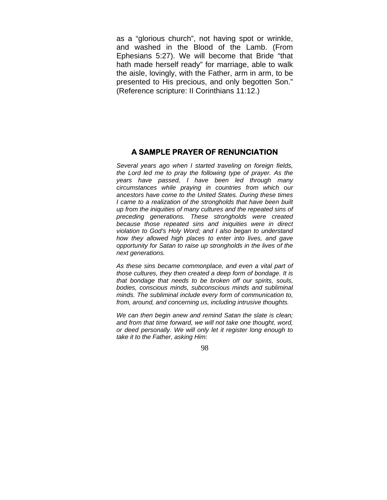as a "glorious church", not having spot or wrinkle, and washed in the Blood of the Lamb. (From Ephesians 5:27). We will become that Bride "that hath made herself ready" for marriage, able to walk the aisle, lovingly, with the Father, arm in arm, to be presented to His precious, and only begotten Son." (Reference scripture: II Corinthians 11:12.)

#### **A SAMPLE PRAYER OF RENUNCIATION**

*Several years ago when I started traveling on foreign fields, the Lord led me to pray the following type of prayer. As the years have passed, I have been led through many circumstances while praying in countries from which our ancestors have come to the United States. During these times I came to a realization of the strongholds that have been built up from the iniquities of many cultures and the repeated sins of preceding generations. These strongholds were created because those repeated sins and iniquities were in direct violation to God's Holy Word; and I also began to understand how they allowed high places to enter into lives, and gave opportunity for Satan to raise up strongholds in the lives of the next generations.* 

*As these sins became commonplace, and even a vital part of those cultures, they then created a deep form of bondage. It is that bondage that needs to be broken off our spirits, souls, bodies, conscious minds, subconscious minds and subliminal minds. The subliminal include every form of communication to, from, around, and concerning us, including intrusive thoughts.* 

*We can then begin anew and remind Satan the slate is clean; and from that time forward, we will not take one thought, word, or deed personally. We will only let it register long enough to take it to the Father, asking Him:*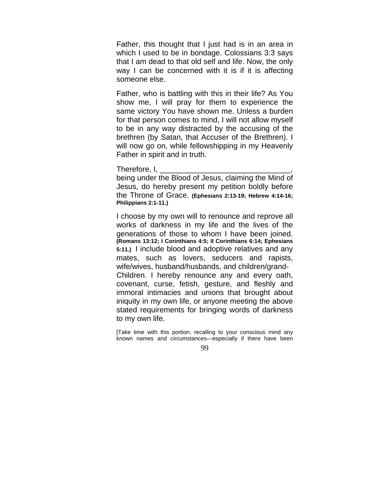Father, this thought that I just had is in an area in which I used to be in bondage. Colossians 3:3 says that I am dead to that old self and life. Now, the only way I can be concerned with it is if it is affecting someone else.

Father, who is battling with this in their life? As You show me, I will pray for them to experience the same victory You have shown me. Unless a burden for that person comes to mind, I will not allow myself to be in any way distracted by the accusing of the brethren (by Satan, that Accuser of the Brethren). I will now go on, while fellowshipping in my Heavenly Father in spirit and in truth.

Therefore, I,

being under the Blood of Jesus, claiming the Mind of Jesus, do hereby present my petition boldly before the Throne of Grace. **(Ephesians 2:13-19; Hebrew 4:14-16; Philippians 2:1-11.)**

I choose by my own will to renounce and reprove all works of darkness in my life and the lives of the generations of those to whom I have been joined. **(Romans 13:12; I Corinthians 4:5; II Corinthians 6:14; Ephesians 5:11.)** I include blood and adoptive relatives and any mates, such as lovers, seducers and rapists, wife/wives, husband/husbands, and children/grand-Children. I hereby renounce any and every oath, covenant, curse, fetish, gesture, and fleshly and immoral intimacies and unions that brought about iniquity in my own life, or anyone meeting the above stated requirements for bringing words of darkness to my own life.

[Take time with this portion, recalling to your conscious mind any known names and circumstances—especially if there have been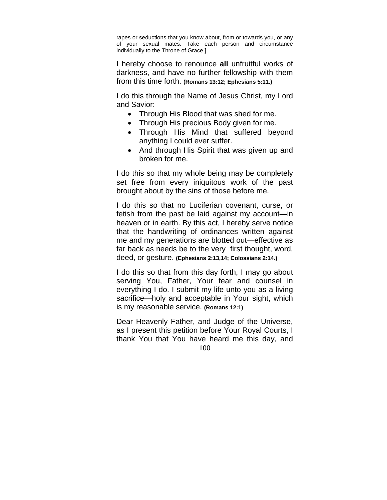rapes or seductions that you know about, from or towards you, or any of your sexual mates. Take each person and circumstance individually to the Throne of Grace.]

I hereby choose to renounce **all** unfruitful works of darkness, and have no further fellowship with them from this time forth. **(Romans 13:12; Ephesians 5:11.)**

I do this through the Name of Jesus Christ, my Lord and Savior:

- Through His Blood that was shed for me.
- Through His precious Body given for me.
- Through His Mind that suffered beyond anything I could ever suffer.
- And through His Spirit that was given up and broken for me.

I do this so that my whole being may be completely set free from every iniquitous work of the past brought about by the sins of those before me.

I do this so that no Luciferian covenant, curse, or fetish from the past be laid against my account—in heaven or in earth. By this act, I hereby serve notice that the handwriting of ordinances written against me and my generations are blotted out—effective as far back as needs be to the very first thought, word, deed, or gesture. **(Ephesians 2:13,14; Colossians 2:14.)**

I do this so that from this day forth, I may go about serving You, Father, Your fear and counsel in everything I do. I submit my life unto you as a living sacrifice—holy and acceptable in Your sight, which is my reasonable service. **(Romans 12:1)**

Dear Heavenly Father, and Judge of the Universe, as I present this petition before Your Royal Courts, I thank You that You have heard me this day, and